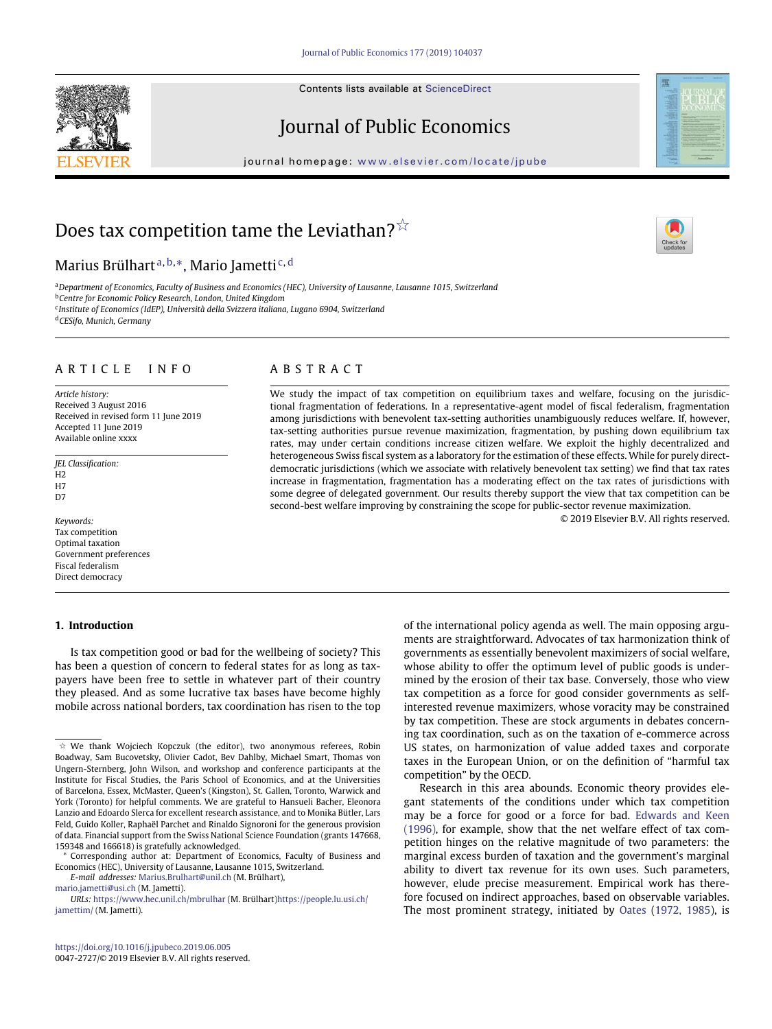Contents lists available at [ScienceDirect](http://www.ScienceDirect.com/)





journal homepage: [www.elsevier.com/locate/jpube](http://www.elsevier.com/locate/jpube)

# Does tax competition tame the Leviathan? $^{\not\approx}$

# Marius Brülhart<sup>[a,](#page-0-1) [b,](#page-0-2)</sup>[\\*,](#page-0-3) Mario Jametti<sup>[c,](#page-0-4) [d](#page-0-5)</sup>

<span id="page-0-5"></span><span id="page-0-4"></span><span id="page-0-2"></span><span id="page-0-1"></span><sup>a</sup>*Department of Economics, Faculty of Business and Economics (HEC), University of Lausanne, Lausanne 1015, Switzerland* <sup>b</sup>*Centre for Economic Policy Research, London, United Kingdom* <sup>c</sup>*Institute of Economics (IdEP), Università della Svizzera italiana, Lugano 6904, Switzerland* <sup>d</sup>*CESifo, Munich, Germany*

# ARTICLE INFO

*Article history:* Received 3 August 2016 Received in revised form 11 June 2019 Accepted 11 June 2019 Available online xxxx

*JEL Classification:*  $H<sub>2</sub>$ H7 D<sub>7</sub>

*Keywords:* Tax competition Optimal taxation Government preferences Fiscal federalism Direct democracy

#### **1. Introduction**

# Is tax competition good or bad for the wellbeing of society? This has been a question of concern to federal states for as long as taxpayers have been free to settle in whatever part of their country they pleased. And as some lucrative tax bases have become highly mobile across national borders, tax coordination has risen to the top

[mario.jametti@usi.ch](mailto:mario.jametti@usi.ch) (M. Jametti).

# ABSTRACT

We study the impact of tax competition on equilibrium taxes and welfare, focusing on the jurisdictional fragmentation of federations. In a representative-agent model of fiscal federalism, fragmentation among jurisdictions with benevolent tax-setting authorities unambiguously reduces welfare. If, however, tax-setting authorities pursue revenue maximization, fragmentation, by pushing down equilibrium tax rates, may under certain conditions increase citizen welfare. We exploit the highly decentralized and heterogeneous Swiss fiscal system as a laboratory for the estimation of these effects. While for purely directdemocratic jurisdictions (which we associate with relatively benevolent tax setting) we find that tax rates increase in fragmentation, fragmentation has a moderating effect on the tax rates of jurisdictions with some degree of delegated government. Our results thereby support the view that tax competition can be second-best welfare improving by constraining the scope for public-sector revenue maximization.

© 2019 Elsevier B.V. All rights reserved.

of the international policy agenda as well. The main opposing arguments are straightforward. Advocates of tax harmonization think of governments as essentially benevolent maximizers of social welfare, whose ability to offer the optimum level of public goods is undermined by the erosion of their tax base. Conversely, those who view tax competition as a force for good consider governments as selfinterested revenue maximizers, whose voracity may be constrained by tax competition. These are stock arguments in debates concerning tax coordination, such as on the taxation of e-commerce across US states, on harmonization of value added taxes and corporate taxes in the European Union, or on the definition of "harmful tax competition" by the OECD.

Research in this area abounds. Economic theory provides elegant statements of the conditions under which tax competition may be a force for good or a force for bad. Edwards and Keen (1996), for example, show that the net welfare effect of tax competition hinges on the relative magnitude of two parameters: the marginal excess burden of taxation and the government's marginal ability to divert tax revenue for its own uses. Such parameters, however, elude precise measurement. Empirical work has therefore focused on indirect approaches, based on observable variables. The most prominent strategy, initiated by [Oates](#page-14-0) [\(1972, 1985\)](#page-14-0), is



<span id="page-0-0"></span> $\dot{\varphi}$  We thank Wojciech Kopczuk (the editor), two anonymous referees, Robin Boadway, Sam Bucovetsky, Olivier Cadot, Bev Dahlby, Michael Smart, Thomas von Ungern-Sternberg, John Wilson, and workshop and conference participants at the Institute for Fiscal Studies, the Paris School of Economics, and at the Universities of Barcelona, Essex, McMaster, Queen's (Kingston), St. Gallen, Toronto, Warwick and York (Toronto) for helpful comments. We are grateful to Hansueli Bacher, Eleonora Lanzio and Edoardo Slerca for excellent research assistance, and to Monika Bütler, Lars Feld, Guido Koller, Raphaël Parchet and Rinaldo Signoroni for the generous provision of data. Financial support from the Swiss National Science Foundation (grants 147668, 159348 and 166618) is gratefully acknowledged.

<span id="page-0-3"></span>Corresponding author at: Department of Economics, Faculty of Business and Economics (HEC), University of Lausanne, Lausanne 1015, Switzerland.

*E-mail addresses:* [Marius.Brulhart@unil.ch](mailto:Marius.Brulhart@unil.ch) (M. Brülhart),

*URLs:* <https://www.hec.unil.ch/mbrulhar> (M. Brülhart[\)https://people.lu.usi.ch/](https://people.lu.usi.ch/jamettim/) [jamettim/](https://people.lu.usi.ch/jamettim/) (M. Jametti).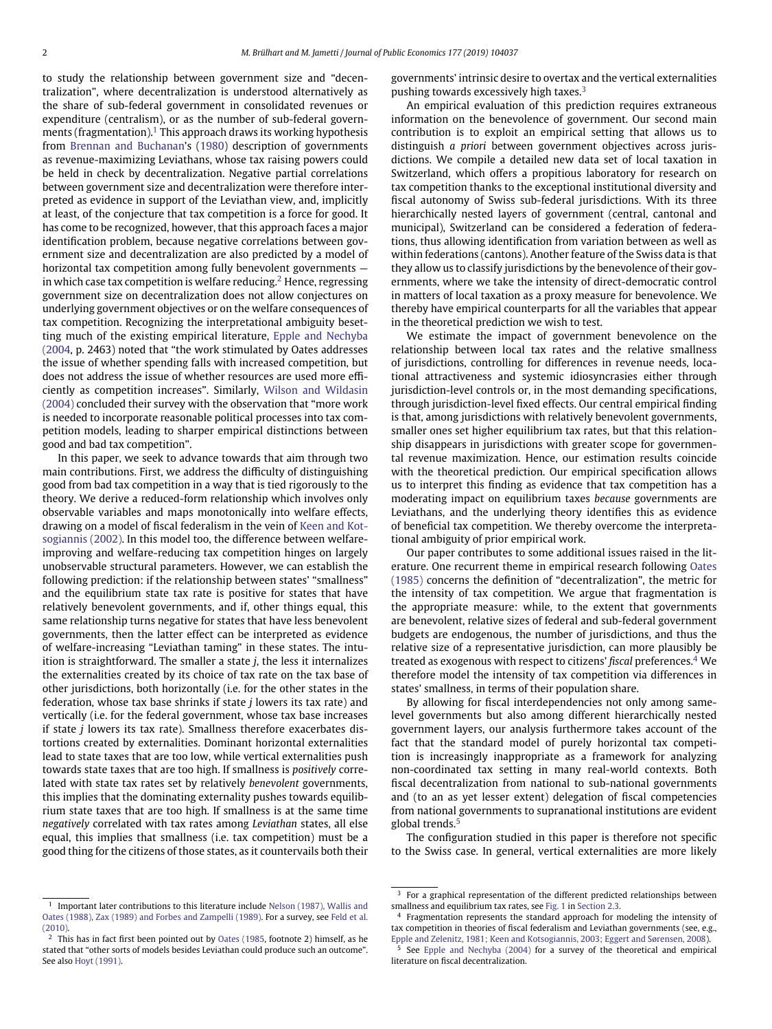to study the relationship between government size and "decentralization", where decentralization is understood alternatively as the share of sub-federal government in consolidated revenues or expenditure (centralism), or as the number of sub-federal governments (fragmentation).<sup>1</sup> This approach draws its working hypothesis from [Brennan and Buchanan'](#page-14-1)s [\(1980\)](#page-14-1) description of governments as revenue-maximizing Leviathans, whose tax raising powers could be held in check by decentralization. Negative partial correlations between government size and decentralization were therefore interpreted as evidence in support of the Leviathan view, and, implicitly at least, of the conjecture that tax competition is a force for good. It has come to be recognized, however, that this approach faces a major identification problem, because negative correlations between government size and decentralization are also predicted by a model of horizontal tax competition among fully benevolent governments — in which case tax competition is welfare reducing.<sup>[2](#page-1-1)</sup> Hence, regressing government size on decentralization does not allow conjectures on underlying government objectives or on the welfare consequences of tax competition. Recognizing the interpretational ambiguity besetting much of the existing empirical literature, Epple and Nechyba (2004, p. 2463) noted that "the work stimulated by Oates addresses the issue of whether spending falls with increased competition, but does not address the issue of whether resources are used more efficiently as competition increases". Similarly, Wilson and Wildasin (2004) concluded their survey with the observation that "more work is needed to incorporate reasonable political processes into tax competition models, leading to sharper empirical distinctions between good and bad tax competition".

In this paper, we seek to advance towards that aim through two main contributions. First, we address the difficulty of distinguishing good from bad tax competition in a way that is tied rigorously to the theory. We derive a reduced-form relationship which involves only observable variables and maps monotonically into welfare effects, drawing on a model of fiscal federalism in the vein of Keen and Kotsogiannis (2002). In this model too, the difference between welfareimproving and welfare-reducing tax competition hinges on largely unobservable structural parameters. However, we can establish the following prediction: if the relationship between states' "smallness" and the equilibrium state tax rate is positive for states that have relatively benevolent governments, and if, other things equal, this same relationship turns negative for states that have less benevolent governments, then the latter effect can be interpreted as evidence of welfare-increasing "Leviathan taming" in these states. The intuition is straightforward. The smaller a state *j*, the less it internalizes the externalities created by its choice of tax rate on the tax base of other jurisdictions, both horizontally (i.e. for the other states in the federation, whose tax base shrinks if state *j* lowers its tax rate) and vertically (i.e. for the federal government, whose tax base increases if state *j* lowers its tax rate). Smallness therefore exacerbates distortions created by externalities. Dominant horizontal externalities lead to state taxes that are too low, while vertical externalities push towards state taxes that are too high. If smallness is *positively* correlated with state tax rates set by relatively *benevolent* governments, this implies that the dominating externality pushes towards equilibrium state taxes that are too high. If smallness is at the same time *negatively* correlated with tax rates among *Leviathan* states, all else equal, this implies that smallness (i.e. tax competition) must be a good thing for the citizens of those states, as it countervails both their governments' intrinsic desire to overtax and the vertical externalities pushing towards excessively high taxes.[3](#page-1-2)

An empirical evaluation of this prediction requires extraneous information on the benevolence of government. Our second main contribution is to exploit an empirical setting that allows us to distinguish *a priori* between government objectives across jurisdictions. We compile a detailed new data set of local taxation in Switzerland, which offers a propitious laboratory for research on tax competition thanks to the exceptional institutional diversity and fiscal autonomy of Swiss sub-federal jurisdictions. With its three hierarchically nested layers of government (central, cantonal and municipal), Switzerland can be considered a federation of federations, thus allowing identification from variation between as well as within federations (cantons). Another feature of the Swiss data is that they allow us to classify jurisdictions by the benevolence of their governments, where we take the intensity of direct-democratic control in matters of local taxation as a proxy measure for benevolence. We thereby have empirical counterparts for all the variables that appear in the theoretical prediction we wish to test.

We estimate the impact of government benevolence on the relationship between local tax rates and the relative smallness of jurisdictions, controlling for differences in revenue needs, locational attractiveness and systemic idiosyncrasies either through jurisdiction-level controls or, in the most demanding specifications, through jurisdiction-level fixed effects. Our central empirical finding is that, among jurisdictions with relatively benevolent governments, smaller ones set higher equilibrium tax rates, but that this relationship disappears in jurisdictions with greater scope for governmental revenue maximization. Hence, our estimation results coincide with the theoretical prediction. Our empirical specification allows us to interpret this finding as evidence that tax competition has a moderating impact on equilibrium taxes *because* governments are Leviathans, and the underlying theory identifies this as evidence of beneficial tax competition. We thereby overcome the interpretational ambiguity of prior empirical work.

Our paper contributes to some additional issues raised in the literature. One recurrent theme in empirical research following Oates (1985) concerns the definition of "decentralization", the metric for the intensity of tax competition. We argue that fragmentation is the appropriate measure: while, to the extent that governments are benevolent, relative sizes of federal and sub-federal government budgets are endogenous, the number of jurisdictions, and thus the relative size of a representative jurisdiction, can more plausibly be treated as exogenous with respect to citizens' *fiscal* preferences.[4](#page-1-3) We therefore model the intensity of tax competition via differences in states' smallness, in terms of their population share.

By allowing for fiscal interdependencies not only among samelevel governments but also among different hierarchically nested government layers, our analysis furthermore takes account of the fact that the standard model of purely horizontal tax competition is increasingly inappropriate as a framework for analyzing non-coordinated tax setting in many real-world contexts. Both fiscal decentralization from national to sub-national governments and (to an as yet lesser extent) delegation of fiscal competencies from national governments to supranational institutions are evident global trends.[5](#page-1-4)

The configuration studied in this paper is therefore not specific to the Swiss case. In general, vertical externalities are more likely

<span id="page-1-0"></span> $1$  Important later contributions to this literature include Nelson (1987), Wallis and Oates (1988), Zax (1989) and Forbes and Zampelli (1989). For a survey, see Feld et al.  $(2010)$ 

<span id="page-1-1"></span><sup>&</sup>lt;sup>2</sup> This has in fact first been pointed out by [Oates \(1985,](#page-14-2) footnote 2) himself, as he stated that "other sorts of models besides Leviathan could produce such an outcome". See also [Hoyt \(1991\).](#page-14-3)

<span id="page-1-2"></span><sup>&</sup>lt;sup>3</sup> For a graphical representation of the different predicted relationships between smallness and equilibrium tax rates, see [Fig. 1](#page-5-0) in [Section 2.3.](#page-4-0)

<span id="page-1-3"></span><sup>4</sup> Fragmentation represents the standard approach for modeling the intensity of tax competition in theories of fiscal federalism and Leviathan governments (see, e.g., [Epple and Zelenitz, 1981; Keen and Kotsogiannis, 2003; Eggert and Sørensen, 2008\)](#page-14-4).

<span id="page-1-4"></span><sup>5</sup> See [Epple and Nechyba \(2004\)](#page-14-5) for a survey of the theoretical and empirical literature on fiscal decentralization.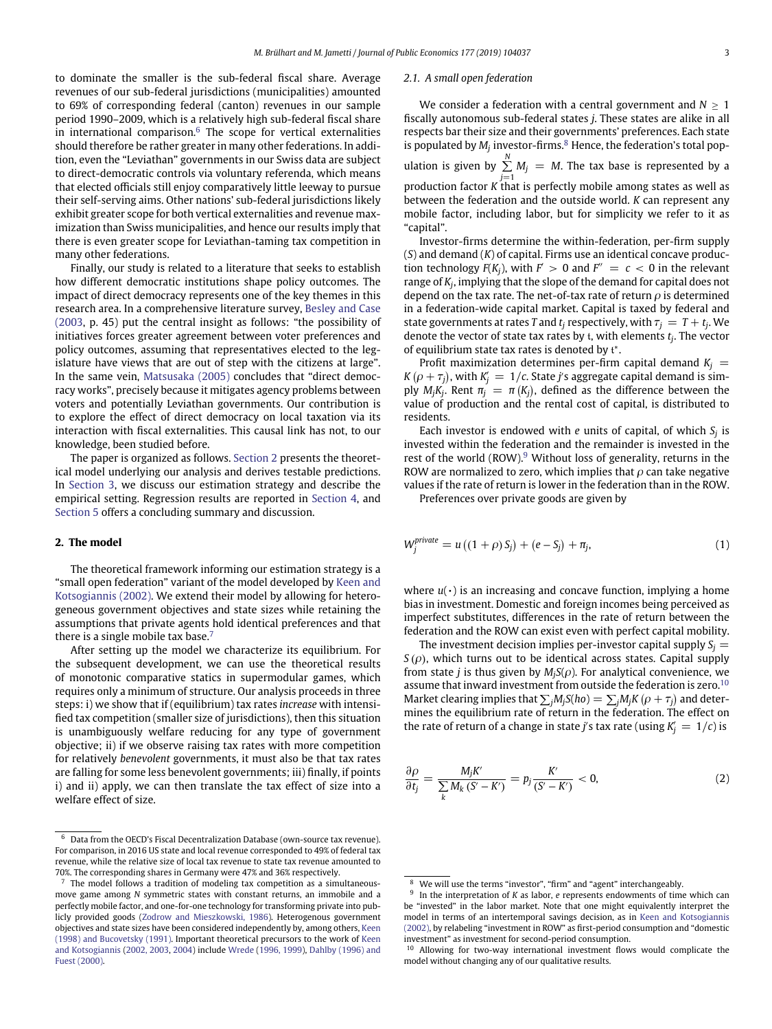to dominate the smaller is the sub-federal fiscal share. Average revenues of our sub-federal jurisdictions (municipalities) amounted to 69% of corresponding federal (canton) revenues in our sample period 1990–2009, which is a relatively high sub-federal fiscal share in international comparison. $6$  The scope for vertical externalities should therefore be rather greater in many other federations. In addition, even the "Leviathan" governments in our Swiss data are subject to direct-democratic controls via voluntary referenda, which means that elected officials still enjoy comparatively little leeway to pursue their self-serving aims. Other nations' sub-federal jurisdictions likely exhibit greater scope for both vertical externalities and revenue maximization than Swiss municipalities, and hence our results imply that there is even greater scope for Leviathan-taming tax competition in many other federations.

Finally, our study is related to a literature that seeks to establish how different democratic institutions shape policy outcomes. The impact of direct democracy represents one of the key themes in this research area. In a comprehensive literature survey, Besley and Case (2003, p. 45) put the central insight as follows: "the possibility of initiatives forces greater agreement between voter preferences and policy outcomes, assuming that representatives elected to the legislature have views that are out of step with the citizens at large". In the same vein, [Matsusaka \(2005\)](#page-14-6) concludes that "direct democracy works", precisely because it mitigates agency problems between voters and potentially Leviathan governments. Our contribution is to explore the effect of direct democracy on local taxation via its interaction with fiscal externalities. This causal link has not, to our knowledge, been studied before.

The paper is organized as follows. [Section 2](#page-2-1) presents the theoretical model underlying our analysis and derives testable predictions. In [Section 3,](#page-6-0) we discuss our estimation strategy and describe the empirical setting. Regression results are reported in [Section 4,](#page-9-0) and [Section 5](#page-12-0) offers a concluding summary and discussion.

#### <span id="page-2-1"></span>**2. The model**

The theoretical framework informing our estimation strategy is a "small open federation" variant of the model developed by Keen and Kotsogiannis (2002). We extend their model by allowing for heterogeneous government objectives and state sizes while retaining the assumptions that private agents hold identical preferences and that there is a single mobile tax base.<sup>[7](#page-2-2)</sup>

After setting up the model we characterize its equilibrium. For the subsequent development, we can use the theoretical results of monotonic comparative statics in supermodular games, which requires only a minimum of structure. Our analysis proceeds in three steps: i) we show that if (equilibrium) tax rates *increase* with intensified tax competition (smaller size of jurisdictions), then this situation is unambiguously welfare reducing for any type of government objective; ii) if we observe raising tax rates with more competition for relatively *benevolent* governments, it must also be that tax rates are falling for some less benevolent governments; iii) finally, if points i) and ii) apply, we can then translate the tax effect of size into a welfare effect of size.

#### *2.1. A small open federation*

We consider a federation with a central government and  $N \geq 1$ fiscally autonomous sub-federal states *j*. These states are alike in all respects bar their size and their governments' preferences. Each state is populated by  $M_j$  investor-firms.<sup>[8](#page-2-3)</sup> Hence, the federation's total population is given by  $\sum_{i=1}^{N}$  $\sum\limits_{j=1}^N M_j \; = \; M.$  The tax base is represented by a production factor *K* that is perfectly mobile among states as well as between the federation and the outside world. *K* can represent any mobile factor, including labor, but for simplicity we refer to it as "capital".

Investor-firms determine the within-federation, per-firm supply (*S*) and demand (*K*) of capital. Firms use an identical concave production technology  $F(K_i)$ , with  $F > 0$  and  $F' = c < 0$  in the relevant range of *Kj*, implying that the slope of the demand for capital does not depend on the tax rate. The net-of-tax rate of return  $\rho$  is determined in a federation-wide capital market. Capital is taxed by federal and state governments at rates *T* and  $t_j$  respectively, with  $\tau_j = T + t_j$ . We denote the vector of state tax rates by t, with elements *tj*. The vector of equilibrium state tax rates is denoted by t ∗.

Profit maximization determines per-firm capital demand  $K_i$  = *K* ( $\rho + \tau_j$ ), with *K*<sup> $\prime$ </sup> = 1/*c*. State *j*'s aggregate capital demand is simply  $M_j K_j$ . Rent  $\pi_j = \pi(K_j)$ , defined as the difference between the value of production and the rental cost of capital, is distributed to residents.

Each investor is endowed with  $e$  units of capital, of which  $S_i$  is invested within the federation and the remainder is invested in the rest of the world (ROW).<sup>9</sup> Without loss of generality, returns in the ROW are normalized to zero, which implies that  $\rho$  can take negative values if the rate of return is lower in the federation than in the ROW.

Preferences over private goods are given by

$$
W_j^{private} = u ((1 + \rho) S_j) + (e - S_j) + \pi_j,
$$
\n(1)

where  $u(\cdot)$  is an increasing and concave function, implying a home bias in investment. Domestic and foreign incomes being perceived as imperfect substitutes, differences in the rate of return between the federation and the ROW can exist even with perfect capital mobility.

The investment decision implies per-investor capital supply  $S_i =$  $S(\rho)$ , which turns out to be identical across states. Capital supply from state *j* is thus given by  $M_iS(\rho)$ . For analytical convenience, we assume that inward investment from outside the federation is zero.<sup>10</sup> Market clearing implies that  $\sum_j M_j S(ho) = \sum_j M_j K(\rho + \tau_j)$  and determines the equilibrium rate of return in the federation. The effect on the rate of return of a change in state *j'*s tax rate (using  $K'_j = 1/c$ ) is

<span id="page-2-6"></span>
$$
\frac{\partial \rho}{\partial t_j} = \frac{M_j K'}{\sum_{k} M_k \left( S' - K' \right)} = p_j \frac{K'}{\left( S' - K' \right)} < 0,\tag{2}
$$

<span id="page-2-0"></span> $6$  Data from the OECD's Fiscal Decentralization Database (own-source tax revenue). For comparison, in 2016 US state and local revenue corresponded to 49% of federal tax revenue, while the relative size of local tax revenue to state tax revenue amounted to 70%. The corresponding shares in Germany were 47% and 36% respectively.<br> $\frac{7}{1}$  The model follows a tradition of modeling tax competition as a sim-

<span id="page-2-2"></span>The model follows a tradition of modeling tax competition as a simultaneousmove game among *N* symmetric states with constant returns, an immobile and a perfectly mobile factor, and one-for-one technology for transforming private into publicly provided goods [\(Zodrow and Mieszkowski, 1986\)](#page-15-0). Heterogenous government objectives and state sizes have been considered independently by, among others, Keen (1998) and Bucovetsky (1991). Important theoretical precursors to the work of Keen and Kotsogiannis [\(2002, 2003,](#page-14-7) [2004\)](#page-14-8) include [Wrede](#page-15-1) [\(1996, 1999\)](#page-15-1), Dahlby (1996) and Fuest (2000).

<span id="page-2-3"></span><sup>8</sup> We will use the terms "investor", "firm" and "agent" interchangeably.

<span id="page-2-4"></span><sup>9</sup> In the interpretation of *K* as labor, *e* represents endowments of time which can be "invested" in the labor market. Note that one might equivalently interpret the model in terms of an intertemporal savings decision, as in Keen and Kotsogiannis (2002), by relabeling "investment in ROW" as first-period consumption and "domestic investment" as investment for second-period consumption.

<span id="page-2-5"></span><sup>&</sup>lt;sup>10</sup> Allowing for two-way international investment flows would complicate the model without changing any of our qualitative results.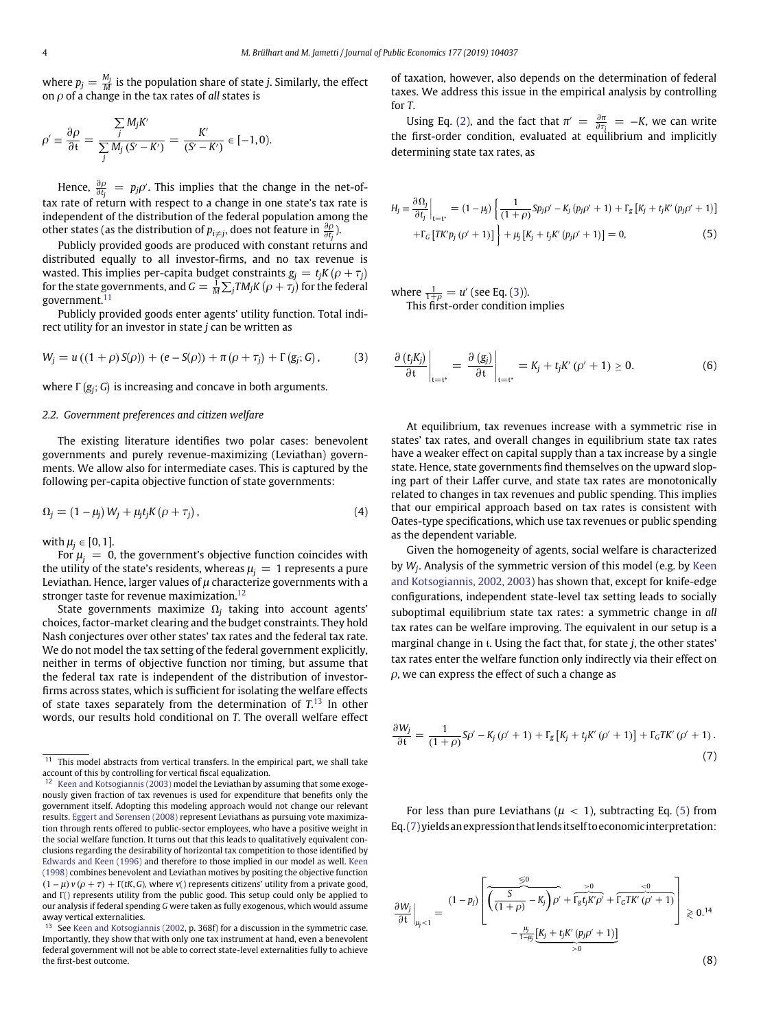where  $p_j = \frac{M_j}{M}$  is the population share of state *j*. Similarly, the effect on  $\rho$  of a change in the tax rates of *all* states is

$$
\rho' \equiv \frac{\partial \rho}{\partial t} = \frac{\sum_{j} M_{j} K'}{\sum_{j} M_{j} (S' - K')} = \frac{K'}{(S' - K')} \in [-1, 0).
$$

Hence,  $\frac{\partial \rho}{\partial t_j} = p_j \rho'$ . This implies that the change in the net-oftax rate of return with respect to a change in one state's tax rate is independent of the distribution of the federal population among the other states (as the distribution of  $p_{i\neq j}$ , does not feature in  $\frac{\partial \rho}{\partial t_j}$ ).

Publicly provided goods are produced with constant returns and distributed equally to all investor-firms, and no tax revenue is wasted. This implies per-capita budget constraints  $g_j = t_j K(\rho + \tau_j)$ for the state governments, and  $G = \frac{1}{M} {\sum_j} TM_j K\left( {\rho + \tau_j } \right)$  for the federal government[.11](#page-3-0)

Publicly provided goods enter agents' utility function. Total indirect utility for an investor in state *j* can be written as

$$
W_j = u ((1 + \rho) S(\rho)) + (e - S(\rho)) + \pi (\rho + \tau_j) + \Gamma (g_j; G),
$$
 (3)

where  $\Gamma\left(\mathcal{g}_j;G\right)$  is increasing and concave in both arguments.

# *2.2. Government preferences and citizen welfare*

The existing literature identifies two polar cases: benevolent governments and purely revenue-maximizing (Leviathan) governments. We allow also for intermediate cases. This is captured by the following per-capita objective function of state governments:

$$
\Omega_j = (1 - \mu_j) W_j + \mu_j t_j K \left( \rho + \tau_j \right), \tag{4}
$$

with  $\mu_i \in [0, 1]$ .

For  $\mu$ <sup>*j*</sup> = 0, the government's objective function coincides with the utility of the state's residents, whereas  $\mu$ <sub>i</sub> = 1 represents a pure Leviathan. Hence, larger values of  $\mu$  characterize governments with a stronger taste for revenue maximization.[12](#page-3-1)

State governments maximize  $\Omega_i$  taking into account agents' choices, factor-market clearing and the budget constraints. They hold Nash conjectures over other states' tax rates and the federal tax rate. We do not model the tax setting of the federal government explicitly, neither in terms of objective function nor timing, but assume that the federal tax rate is independent of the distribution of investorfirms across states, which is sufficient for isolating the welfare effects of state taxes separately from the determination of  $T^{13}_\cdot$  $T^{13}_\cdot$  $T^{13}_\cdot$  In other words, our results hold conditional on *T*. The overall welfare effect

of taxation, however, also depends on the determination of federal taxes. We address this issue in the empirical analysis by controlling for *T*.

Using Eq. [\(2\)](#page-2-6), and the fact that  $\pi' = \frac{\partial \pi}{\partial \tau_j} = -K$ , we can write the first-order condition, evaluated at equilibrium and implicitly determining state tax rates, as

<span id="page-3-4"></span>
$$
H_{j} = \frac{\partial \Omega_{j}}{\partial t_{j}}\Big|_{t=t^{*}} = (1 - \mu_{j}) \left\{ \frac{1}{(1 + \rho)} Sp_{j}\rho' - K_{j} (p_{j}\rho' + 1) + \Gamma_{g} [K_{j} + t_{j}K' (p_{j}\rho' + 1)] + \Gamma_{G} [TK'p_{j} (\rho' + 1)] \right\} + \mu_{j} [K_{j} + t_{j}K' (p_{j}\rho' + 1)] = 0,
$$
\n(5)

where  $\frac{1}{1+\rho} = u'$  (see Eq. [\(3\)](#page-3-3)). This first-order condition implies

<span id="page-3-3"></span>
$$
\left. \frac{\partial (t_j K_j)}{\partial t} \right|_{t=t^*} = \left. \frac{\partial (g_j)}{\partial t} \right|_{t=t^*} = K_j + t_j K' (\rho' + 1) \ge 0. \tag{6}
$$

At equilibrium, tax revenues increase with a symmetric rise in states' tax rates, and overall changes in equilibrium state tax rates have a weaker effect on capital supply than a tax increase by a single state. Hence, state governments find themselves on the upward sloping part of their Laffer curve, and state tax rates are monotonically related to changes in tax revenues and public spending. This implies that our empirical approach based on tax rates is consistent with Oates-type specifications, which use tax revenues or public spending as the dependent variable.

Given the homogeneity of agents, social welfare is characterized by *Wj*. Analysis of the symmetric version of this model (e.g. by Keen and Kotsogiannis, 2002, 2003) has shown that, except for knife-edge configurations, independent state-level tax setting leads to socially suboptimal equilibrium state tax rates: a symmetric change in *all* tax rates can be welfare improving. The equivalent in our setup is a marginal change in t. Using the fact that, for state *j*, the other states' tax rates enter the welfare function only indirectly via their effect on  $\rho$ , we can express the effect of such a change as

<span id="page-3-5"></span>
$$
\frac{\partial W_j}{\partial t} = \frac{1}{(1+\rho)} S\rho' - K_j(\rho' + 1) + \Gamma_g [K_j + t_j K'(\rho' + 1)] + \Gamma_G T K'(\rho' + 1).
$$
\n(7)

For less than pure Leviathans ( $\mu$  < 1), subtracting Eq. [\(5\)](#page-3-4) from Eq. [\(7\)](#page-3-5)yieldsanexpression thatlends itself toeconomic interpretatio[n:](#page-4-1)

<span id="page-3-6"></span>
$$
\frac{\partial W_j}{\partial t}\Big|_{\mu_j < 1} = \frac{(1-p_j)\left[\frac{\text{S}_0}{\left(\frac{S}{(1+\rho)} - K_j\right)\rho'} + \frac{\text{S}_0}{\Gamma_g t_j K'\rho'} + \frac{\text{S}_0}{\Gamma_G T K'\left(\rho' + 1\right)}\right]}{-\frac{\mu_j}{1-\mu_j}\underbrace{\left[K_j + t_j K'\left(p_j \rho' + 1\right)\right]}_{\text{S}_0}} \geq 0.14
$$

<span id="page-3-0"></span> $\overline{11}$  This model abstracts from vertical transfers. In the empirical part, we shall take account of this by controlling for vertical fiscal equalization.

<span id="page-3-1"></span><sup>12</sup> [Keen and Kotsogiannis \(2003\)](#page-14-9) model the Leviathan by assuming that some exogenously given fraction of tax revenues is used for expenditure that benefits only the government itself. Adopting this modeling approach would not change our relevant results. [Eggert and Sørensen \(2008\)](#page-14-10) represent Leviathans as pursuing vote maximization through rents offered to public-sector employees, who have a positive weight in the social welfare function. It turns out that this leads to qualitatively equivalent conclusions regarding the desirability of horizontal tax competition to those identified by [Edwards and Keen \(1996\)](#page-14-11) and therefore to those implied in our model as well. Keen (1998) combines benevolent and Leviathan motives by positing the objective function  $(1 - \mu) v (\rho + \tau) + \Gamma(tK, G)$ , where *v*() represents citizens' utility from a private good, and  $\Gamma$ () represents utility from the public good. This setup could only be applied to our analysis if federal spending *G* were taken as fully exogenous, which would assume

<span id="page-3-2"></span>away vertical externalities.<br><sup>13</sup> See [Keen and Kotsogiannis \(2002,](#page-14-7) p. 368f) for a discussion in the symmetric case. Importantly, they show that with only one tax instrument at hand, even a benevolent federal government will not be able to correct state-level externalities fully to achieve the first-best outcome.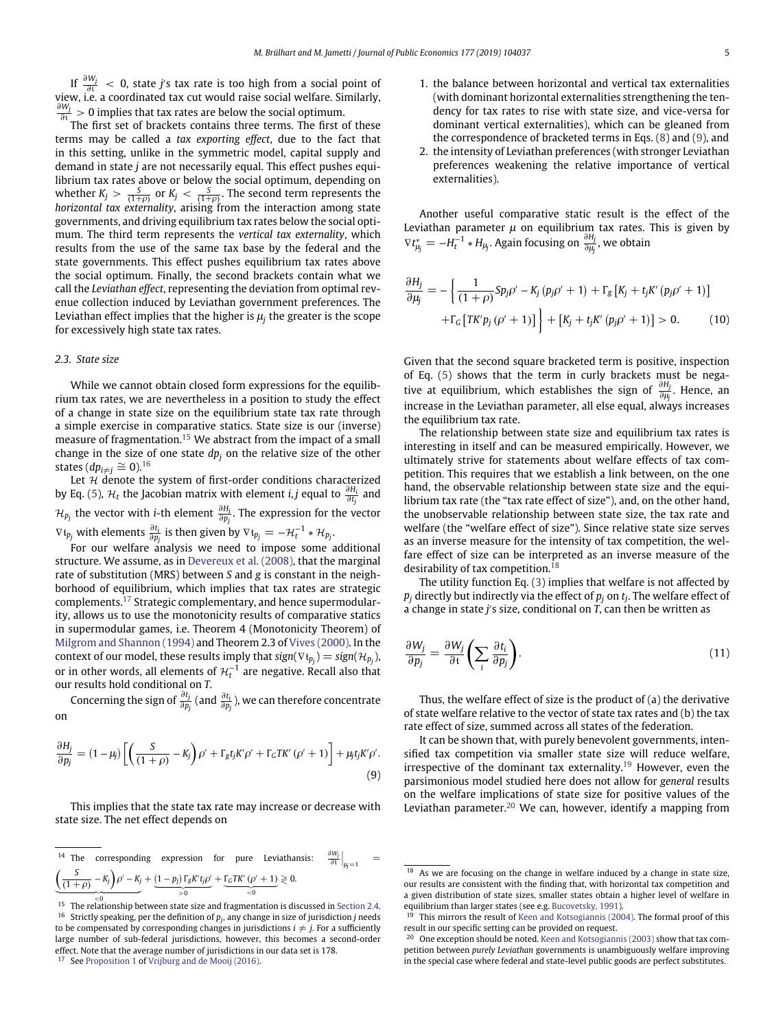If *<sup>∂</sup>Wj <sup>∂</sup>*<sup>t</sup> *<* 0, state *<sup>j</sup>* s tax rate is too high from a social point of view, i.e. a coordinated tax cut would raise social welfare. Similarly, *∂Wj <sup>∂</sup>*<sup>t</sup> *>* 0 implies that tax rates are below the social optimum.

The first set of brackets contains three terms. The first of these terms may be called a *tax exporting effect*, due to the fact that in this setting, unlike in the symmetric model, capital supply and demand in state *j* are not necessarily equal. This effect pushes equilibrium tax rates above or below the social optimum, depending on whether  $K_j > \frac{S}{(1+\rho)}$  or  $K_j < \frac{S}{(1+\rho)}$ . The second term represents the *horizontal tax externality*, arising from the interaction among state governments, and driving equilibrium tax rates below the social optimum. The third term represents the *vertical tax externality*, which results from the use of the same tax base by the federal and the state governments. This effect pushes equilibrium tax rates above the social optimum. Finally, the second brackets contain what we call the *Leviathan effect*, representing the deviation from optimal revenue collection induced by Leviathan government preferences. The Leviathan effect implies that the higher is  $\mu$ <sub>*i*</sub> the greater is the scope for excessively high state tax rates.

# <span id="page-4-0"></span>*2.3. State size*

While we cannot obtain closed form expressions for the equilibrium tax rates, we are nevertheless in a position to study the effect of a change in state size on the equilibrium state tax rate through a simple exercise in comparative statics. State size is our (inverse) measure of fragmentation.<sup>[15](#page-4-2)</sup> We abstract from the impact of a small change in the size of one state  $dp_i$  on the relative size of the other states ( $dp_{i\neq j} \cong 0$ ).<sup>[16](#page-4-3)</sup>

Let  $H$  denote the system of first-order conditions characterized by Eq. [\(5\)](#page-3-4),  $\mathcal{H}_t$  the Jacobian matrix with element *i,j* equal to  $\frac{\partial H_i}{\partial t_j}$  and <sup>H</sup>*pj* the vector with *<sup>i</sup>*-th element *<sup>∂</sup>Hi ∂pj* . The expression for the vector  $\nabla$ *t*<sub>*p<sub>j</sub>*</sub> with elements  $\frac{\partial t_i}{\partial p_j}$  is then given by  $\nabla$ *t*<sub>*p<sub>j</sub>*</sub> = −*H*<sup> $-1$ </sup> \*  $\mathcal{H}_{p_j}$ .

For our welfare analysis we need to impose some additional structure. We assume, as in [Devereux et al. \(2008\),](#page-14-12) that the marginal rate of substitution (MRS) between *S* and *g* is constant in the neighborhood of equilibrium, which implies that tax rates are strategic complements.[17](#page-4-4) Strategic complementary, and hence supermodularity, allows us to use the monotonicity results of comparative statics in supermodular games, i.e. Theorem 4 (Monotonicity Theorem) of [Milgrom and Shannon \(1994\)](#page-14-13) and Theorem 2.3 of [Vives \(2000\).](#page-14-14) In the context of our model, these results imply that  $\mathit{sign}(\nabla \mathit{t}_{p_j}) = \mathit{sign}(\mathcal{H}_{p_j}),$ or in other words, all elements of  $\mathcal{H}_t^{-1}$  are negative. Recall also that

our results hold conditional on *T*. Concerning the sign of *<sup>∂</sup>tj ∂pj* (and *<sup>∂</sup>ti ∂pj* ), we can therefore concentrate on

<span id="page-4-5"></span>
$$
\frac{\partial H_j}{\partial p_j} = (1 - \mu_j) \left[ \left( \frac{S}{(1 + \rho)} - K_j \right) \rho' + \Gamma_g t_j K' \rho' + \Gamma_G T K' (\rho' + 1) \right] + \mu_j t_j K' \rho'.
$$
\n(9)

This implies that the state tax rate may increase or decrease with state size. The net effect depends on

<span id="page-4-1"></span><sup>14</sup> The corresponding expression for pure Leviathansis: 
$$
\frac{\partial w_j}{\partial t}\Big|_{H_j=1} = \frac{\left(\frac{S}{(1+\rho)} - K_j\right)\rho' - K_j}{\left(\frac{S}{(1+\rho)} - K_j\right)\rho'} + \frac{(1-p_j) \Gamma_g K' t \rho'}{t} + \frac{\Gamma_G T K'(\rho' + 1)}{t} \ge 0.
$$

<span id="page-4-4"></span><sup>17</sup> See [Proposition 1](#page-5-1) of [Vrijburg and de Mooij \(2016\).](#page-14-15)

- 1. the balance between horizontal and vertical tax externalities (with dominant horizontal externalities strengthening the tendency for tax rates to rise with state size, and vice-versa for dominant vertical externalities), which can be gleaned from the correspondence of bracketed terms in Eqs. [\(8\)](#page-3-6) and [\(9\)](#page-4-5), and
- 2. the intensity of Leviathan preferences (with stronger Leviathan preferences weakening the relative importance of vertical externalities).

Another useful comparative static result is the effect of the Leviathan parameter  $\mu$  on equilibrium tax rates. This is given by  $\nabla t^*_{\mu_j} = -H_t^{-1} * H_{\mu_j}$ . Again focusing on  $\frac{\partial H_j}{\partial \mu_j}$ , we obtain

<span id="page-4-9"></span>
$$
\frac{\partial H_j}{\partial \mu_j} = -\left\{ \frac{1}{(1+\rho)} Sp_j \rho' - K_j (p_j \rho' + 1) + \Gamma_g [K_j + t_j K' (p_j \rho' + 1)] + \Gamma_G [TK' p_j (\rho' + 1)] \right\} + [K_j + t_j K' (p_j \rho' + 1)] > 0.
$$
 (10)

Given that the second square bracketed term is positive, inspection of Eq. [\(5\)](#page-3-4) shows that the term in curly brackets must be negative at equilibrium, which establishes the sign of  $\frac{\partial H_j}{\partial \mu_j}$ . Hence, an increase in the Leviathan parameter, all else equal, always increases the equilibrium tax rate.

The relationship between state size and equilibrium tax rates is interesting in itself and can be measured empirically. However, we ultimately strive for statements about welfare effects of tax competition. This requires that we establish a link between, on the one hand, the observable relationship between state size and the equilibrium tax rate (the "tax rate effect of size"), and, on the other hand, the unobservable relationship between state size, the tax rate and welfare (the "welfare effect of size"). Since relative state size serves as an inverse measure for the intensity of tax competition, the welfare effect of size can be interpreted as an inverse measure of the desirability of tax competition.<sup>18</sup>

The utility function Eq. [\(3\)](#page-3-3) implies that welfare is not affected by  $p_i$  directly but indirectly via the effect of  $p_i$  on  $t_i$ . The welfare effect of a change in state *j* s size, conditional on *T*, can then be written as

$$
\frac{\partial W_j}{\partial p_j} = \frac{\partial W_j}{\partial t} \left( \sum_i \frac{\partial t_i}{\partial p_j} \right).
$$
\n(11)

Thus, the welfare effect of size is the product of (a) the derivative of state welfare relative to the vector of state tax rates and (b) the tax rate effect of size, summed across all states of the federation.

It can be shown that, with purely benevolent governments, intensified tax competition via smaller state size will reduce welfare, irrespective of the dominant tax externality.<sup>[19](#page-4-7)</sup> However, even the parsimonious model studied here does not allow for *general* results on the welfare implications of state size for positive values of the Leviathan parameter.<sup>20</sup> We can, however, identify a mapping from

<span id="page-4-3"></span><span id="page-4-2"></span><sup>&</sup>lt;sup>15</sup> The relationship between state size and fragmentation is discussed in [Section 2.4.](#page-6-1) <sup>16</sup> Strictly speaking, per the definition of  $p_j$ , any change in size of jurisdiction *j* needs to be compensated by corresponding changes in jurisdictions  $i \neq j$ . For a sufficiently large number of sub-federal jurisdictions, however, this becomes a second-order effect. Note that the average number of jurisdictions in our data set is 178.

<span id="page-4-6"></span> $18$  As we are focusing on the change in welfare induced by a change in state size, our results are consistent with the finding that, with horizontal tax competition and a given distribution of state sizes, smaller states obtain a higher level of welfare in equilibrium than larger states (see e.g. [Bucovetsky, 1991\)](#page-14-16).

<span id="page-4-7"></span>This mirrors the result of [Keen and Kotsogiannis \(2004\).](#page-14-8) The formal proof of this result in our specific setting can be provided on request.

<span id="page-4-8"></span>One exception should be noted. [Keen and Kotsogiannis \(2003\)](#page-14-9) show that tax competition between *purely Leviathan* governments is unambiguously welfare improving in the special case where federal and state-level public goods are perfect substitutes.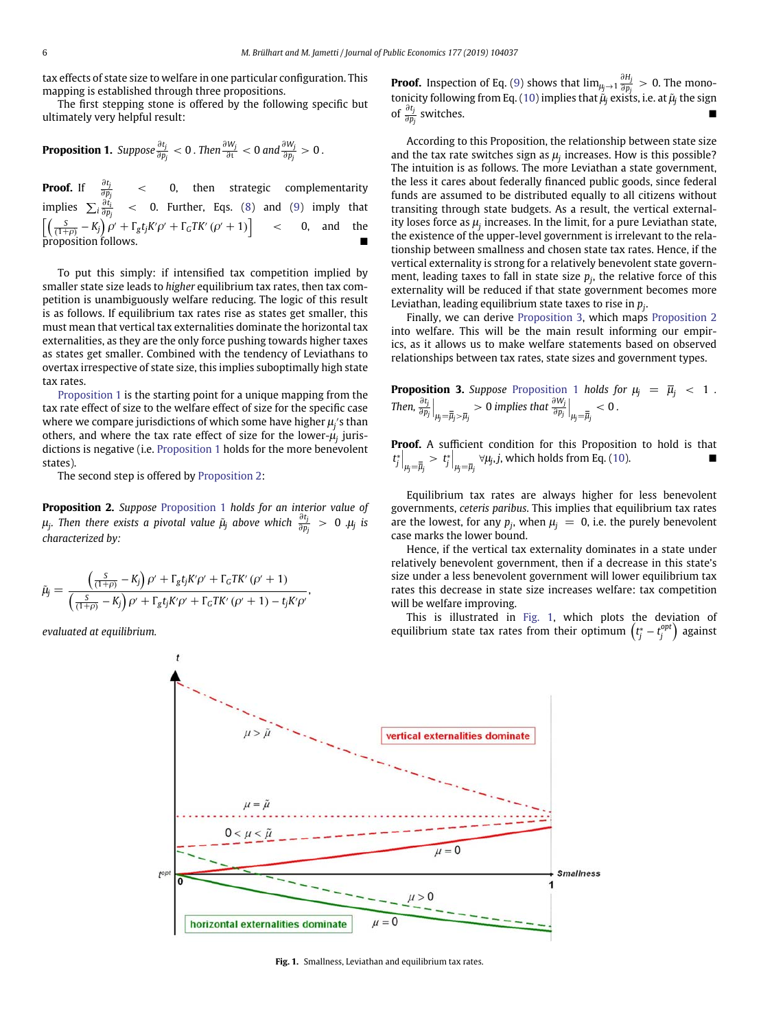tax effects of state size to welfare in one particular configuration. This mapping is established through three propositions.

The first stepping stone is offered by the following specific but ultimately very helpful result:

<span id="page-5-1"></span>**Proposition 1.** Suppose 
$$
\frac{\partial t_j}{\partial p_j} < 0
$$
. Then  $\frac{\partial W_j}{\partial t} < 0$  and  $\frac{\partial W_j}{\partial p_j} > 0$ .

**Proof.** If *<sup>∂</sup>tj <sup>∂</sup>pj <* 0, then strategic complementarity implies  $\sum_i \frac{\partial \vec{t}_i}{\partial p_i}$  $\left[\left(\frac{S}{(1+\rho)}-K_j\right)\rho' + \Gamma_g t_j K'\rho' + \Gamma_GTK'(\rho'+1)\right]$  < 0, and the  $\frac{1}{1}$  proposition follows.

To put this simply: if intensified tax competition implied by smaller state size leads to *higher* equilibrium tax rates, then tax competition is unambiguously welfare reducing. The logic of this result is as follows. If equilibrium tax rates rise as states get smaller, this must mean that vertical tax externalities dominate the horizontal tax externalities, as they are the only force pushing towards higher taxes as states get smaller. Combined with the tendency of Leviathans to overtax irrespective of state size, this implies suboptimally high state tax rates.

[Proposition 1](#page-5-1) is the starting point for a unique mapping from the tax rate effect of size to the welfare effect of size for the specific case where we compare jurisdictions of which some have higher  $\mu_{\text{j}}^{\, \prime}$ s than others, and where the tax rate effect of size for the lower- $\mu$ <sup>*j*</sup> jurisdictions is negative (i.e. [Proposition 1](#page-5-1) holds for the more benevolent states).

The second step is offered by [Proposition 2:](#page-5-2)

<span id="page-5-2"></span>**Proposition 2.** *Suppose* [Proposition 1](#page-5-1) *holds for an interior value of*  $\mu_j$ *. Then there exists a pivotal value*  $\tilde{\mu}_j$  *above which*  $\frac{\partial t_j}{\partial p_j} > 0$  *.* $\mu_j$  *is characterized by:*

$$
\tilde{\mu}_j = \frac{\left(\frac{S}{(1+\rho)} - K_j\right)\rho' + \Gamma_g t_j K'\rho' + \Gamma_G T K'\left(\rho' + 1\right)}{\left(\frac{S}{(1+\rho)} - K_j\right)\rho' + \Gamma_g t_j K'\rho' + \Gamma_G T K'\left(\rho' + 1\right) - t_j K'\rho'}
$$

*evaluated at equilibrium.*

**Proof.** Inspection of Eq. [\(9\)](#page-4-5) shows that  $\lim_{\mu_j \to 1} \frac{\partial H_j}{\partial p_i}$  $\frac{\partial n_j}{\partial p_j}$  > 0. The mono-tonicity following from Eq. [\(10\)](#page-4-9) implies that  $\tilde{\mu}_j$  exists, i.e. at  $\tilde{\mu}_j$  the sign of  $\frac{\partial t_j}{\partial p_j}$  switches. ■

According to this Proposition, the relationship between state size and the tax rate switches sign as  $\mu$ <sub>i</sub> increases. How is this possible? The intuition is as follows. The more Leviathan a state government, the less it cares about federally financed public goods, since federal funds are assumed to be distributed equally to all citizens without transiting through state budgets. As a result, the vertical externality loses force as  $\mu_i$  increases. In the limit, for a pure Leviathan state, the existence of the upper-level government is irrelevant to the relationship between smallness and chosen state tax rates. Hence, if the vertical externality is strong for a relatively benevolent state government, leading taxes to fall in state size  $p_i$ , the relative force of this externality will be reduced if that state government becomes more Leviathan, leading equilibrium state taxes to rise in *pj*.

Finally, we can derive [Proposition 3,](#page-5-3) which maps [Proposition 2](#page-5-2) into welfare. This will be the main result informing our empirics, as it allows us to make welfare statements based on observed relationships between tax rates, state sizes and government types.

<span id="page-5-3"></span>**Proposition 3.** Suppose [Proposition 1](#page-5-1) *holds for*  $\mu_j = \overline{\mu}_j < 1$ . *Then, <sup>∂</sup>tj ∂pj*  $\left| \frac{1}{\mu_j = \overline{\overline{\mu}}_j > \overline{\mu}_j} > 0$  *implies that*  $\frac{\partial W_j}{\partial p_j}$  $\left| \int_{\mu_j = \overline{\overline{\mu}}_j} < 0$ .

**Proof.** A sufficient condition for this Proposition to hold is that  $t_j^*$   $\Big|_{\mu_j = \bar{\mu}_j} > t_j^*$   $\Big|_{\mu_j = \bar{\mu}_j}$   $\forall \mu_j, j$ , which holds from Eq. [\(10\)](#page-4-9).

Equilibrium tax rates are always higher for less benevolent governments, *ceteris paribus*. This implies that equilibrium tax rates are the lowest, for any  $p_i$ , when  $\mu_i = 0$ , i.e. the purely benevolent case marks the lower bound.

Hence, if the vertical tax externality dominates in a state under relatively benevolent government, then if a decrease in this state's size under a less benevolent government will lower equilibrium tax rates this decrease in state size increases welfare: tax competition will be welfare improving.

This is illustrated in [Fig. 1,](#page-5-0) which plots the deviation of equilibrium state tax rates from their optimum  $(t_j^* - t_j^{opt})$  against



<span id="page-5-0"></span>**Fig. 1.** Smallness, Leviathan and equilibrium tax rates.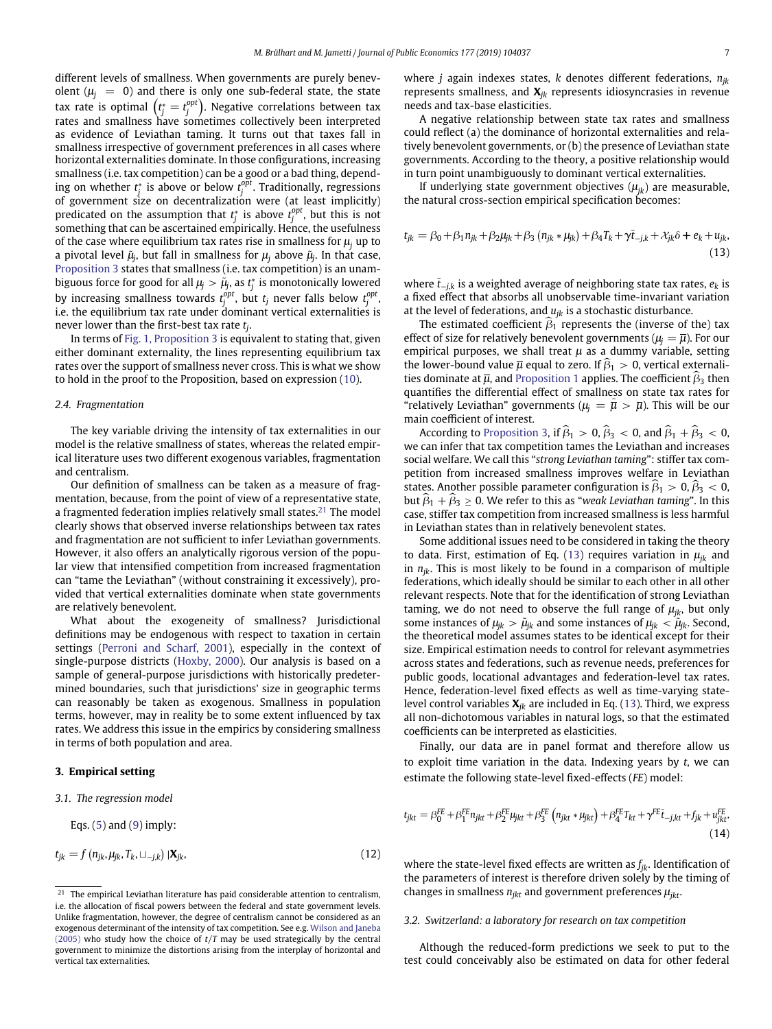different levels of smallness. When governments are purely benevolent  $(\mu_i = 0)$  and there is only one sub-federal state, the state tax rate is optimal  $\left(t_j^* = t_j^{opt}\right)$ . Negative correlations between tax rates and smallness have sometimes collectively been interpreted as evidence of Leviathan taming. It turns out that taxes fall in smallness irrespective of government preferences in all cases where horizontal externalities dominate. In those configurations, increasing smallness (i.e. tax competition) can be a good or a bad thing, depending on whether *t*∗ *<sup>j</sup>* is above or below *t opt <sup>j</sup>* . Traditionally, regressions of government size on decentralization were (at least implicitly) predicated on the assumption that  $t_j^*$  is above  $t_j^{opt}$ , but this is not something that can be ascertained empirically. Hence, the usefulness of the case where equilibrium tax rates rise in smallness for  $\mu_i$  up to a pivotal level  $\tilde{\mu}_j$ , but fall in smallness for  $\mu_j$  above  $\tilde{\mu}_j$ . In that case, [Proposition 3](#page-5-3) states that smallness (i.e. tax competition) is an unambiguous force for good for all  $\mu_j > \tilde{\mu}_j$ , as  $t_j^*$  is monotonically lowered by increasing smallness towards  $t_j^{opt}$ , but  $t_j$  never falls below  $t_j^{opt}$ , i.e. the equilibrium tax rate under dominant vertical externalities is never lower than the first-best tax rate *tj*.

In terms of [Fig. 1, Proposition 3](#page-5-0) is equivalent to stating that, given either dominant externality, the lines representing equilibrium tax rates over the support of smallness never cross. This is what we show to hold in the proof to the Proposition, based on expression [\(10\)](#page-4-9).

#### <span id="page-6-1"></span>*2.4. Fragmentation*

The key variable driving the intensity of tax externalities in our model is the relative smallness of states, whereas the related empirical literature uses two different exogenous variables, fragmentation and centralism.

Our definition of smallness can be taken as a measure of fragmentation, because, from the point of view of a representative state, a fragmented federation implies relatively small states. $21$  The model clearly shows that observed inverse relationships between tax rates and fragmentation are not sufficient to infer Leviathan governments. However, it also offers an analytically rigorous version of the popular view that intensified competition from increased fragmentation can "tame the Leviathan" (without constraining it excessively), provided that vertical externalities dominate when state governments are relatively benevolent.

What about the exogeneity of smallness? Jurisdictional definitions may be endogenous with respect to taxation in certain settings [\(Perroni and Scharf, 2001\)](#page-14-17), especially in the context of single-purpose districts [\(Hoxby, 2000\)](#page-14-18). Our analysis is based on a sample of general-purpose jurisdictions with historically predetermined boundaries, such that jurisdictions' size in geographic terms can reasonably be taken as exogenous. Smallness in population terms, however, may in reality be to some extent influenced by tax rates. We address this issue in the empirics by considering smallness in terms of both population and area.

# <span id="page-6-0"></span>**3. Empirical setting**

#### *3.1. The regression model*

Eqs. 
$$
(5)
$$
 and  $(9)$  imply:

$$
t_{jk} = f\left(n_{jk}, \mu_{jk}, T_k, \sqcup_{-j,k}\right) \left|\mathbf{X}_{jk},\right. \tag{12}
$$

where *j* again indexes states, *k* denotes different federations, *njk* represents smallness, and **X***jk* represents idiosyncrasies in revenue needs and tax-base elasticities.

A negative relationship between state tax rates and smallness could reflect (a) the dominance of horizontal externalities and relatively benevolent governments, or (b) the presence of Leviathan state governments. According to the theory, a positive relationship would in turn point unambiguously to dominant vertical externalities.

<span id="page-6-3"></span>If underlying state government objectives  $(\mu_{ik})$  are measurable, the natural cross-section empirical specification becomes:

$$
t_{jk} = \beta_0 + \beta_1 n_{jk} + \beta_2 \mu_{jk} + \beta_3 (n_{jk} * \mu_{jk}) + \beta_4 T_k + \gamma \bar{t}_{-j,k} + \lambda'_{jk} \delta + e_k + u_{jk},
$$
\n(13)

where  $t_{-j,k}$  is a weighted average of neighboring state tax rates,  $e_k$  is a fixed effect that absorbs all unobservable time-invariant variation at the level of federations, and  $u_{ik}$  is a stochastic disturbance.

The estimated coefficient  $\hat{\beta}_1$  represents the (inverse of the) tax effect of size for relatively benevolent governments ( $\mu_i = \overline{\mu}$ ). For our empirical purposes, we shall treat  $\mu$  as a dummy variable, setting the lower-bound value  $\bar{\mu}$  equal to zero. If  $\hat{\beta}_1 > 0$ , vertical externalities dominate at  $\bar{\mu}$ , and [Proposition 1](#page-5-1) applies. The coefficient  $\widehat{\beta}_3$  then quantifies the differential effect of smallness on state tax rates for "relatively Leviathan" governments ( $\mu_j\,=\,\overline{\mu}\,>\,\overline{\mu}$ ). This will be our main coefficient of interest.

According to [Proposition 3,](#page-5-3) if  $\widehat{\beta}_1 > 0$ ,  $\widehat{\beta}_3 < 0$ , and  $\widehat{\beta}_1 + \widehat{\beta}_3 < 0$ , we can infer that tax competition tames the Leviathan and increases social welfare. We call this "*strong Leviathan taming*": stiffer tax competition from increased smallness improves welfare in Leviathan states. Another possible parameter configuration is  $\widehat{\beta}_1 > 0$ ,  $\widehat{\beta}_3 < 0$ , but  $\widehat{\beta}_1 + \widehat{\beta}_3 \geq 0$ . We refer to this as "*weak Leviathan taming*". In this case, stiffer tax competition from increased smallness is less harmful in Leviathan states than in relatively benevolent states.

Some additional issues need to be considered in taking the theory to data. First, estimation of Eq. [\(13\)](#page-6-3) requires variation in  $\mu_{ik}$  and in *njk*. This is most likely to be found in a comparison of multiple federations, which ideally should be similar to each other in all other relevant respects. Note that for the identification of strong Leviathan taming, we do not need to observe the full range of  $\mu_{ik}$ , but only some instances of  $\mu_{ik} > \tilde{\mu}_{ik}$  and some instances of  $\mu_{ik} < \tilde{\mu}_{ik}$ . Second, the theoretical model assumes states to be identical except for their size. Empirical estimation needs to control for relevant asymmetries across states and federations, such as revenue needs, preferences for public goods, locational advantages and federation-level tax rates. Hence, federation-level fixed effects as well as time-varying statelevel control variables **X***jk* are included in Eq. [\(13\)](#page-6-3). Third, we express all non-dichotomous variables in natural logs, so that the estimated coefficients can be interpreted as elasticities.

Finally, our data are in panel format and therefore allow us to exploit time variation in the data. Indexing years by *t*, we can estimate the following state-level fixed-effects (*FE*) model:

<span id="page-6-4"></span>
$$
t_{jkt} = \beta_0^{FE} + \beta_1^{FE} n_{jkt} + \beta_2^{FE} \mu_{jkt} + \beta_3^{FE} (n_{jkt} * \mu_{jkt}) + \beta_4^{FE} T_{kt} + \gamma^{FE} \bar{t}_{-j,kt} + f_{jk} + u_{jkt}^{FE}.
$$
\n(14)

where the state-level fixed effects are written as *fjk*. Identification of the parameters of interest is therefore driven solely by the timing of changes in smallness  $n_{jkt}$  and government preferences  $\mu_{jkt}$ .

#### *3.2. Switzerland: a laboratory for research on tax competition*

Although the reduced-form predictions we seek to put to the test could conceivably also be estimated on data for other federal

<span id="page-6-2"></span><sup>21</sup> The empirical Leviathan literature has paid considerable attention to centralism, i.e. the allocation of fiscal powers between the federal and state government levels. Unlike fragmentation, however, the degree of centralism cannot be considered as an exogenous determinant of the intensity of tax competition. See e.g. Wilson and Janeba (2005) who study how the choice of *t/T* may be used strategically by the central government to minimize the distortions arising from the interplay of horizontal and vertical tax externalities.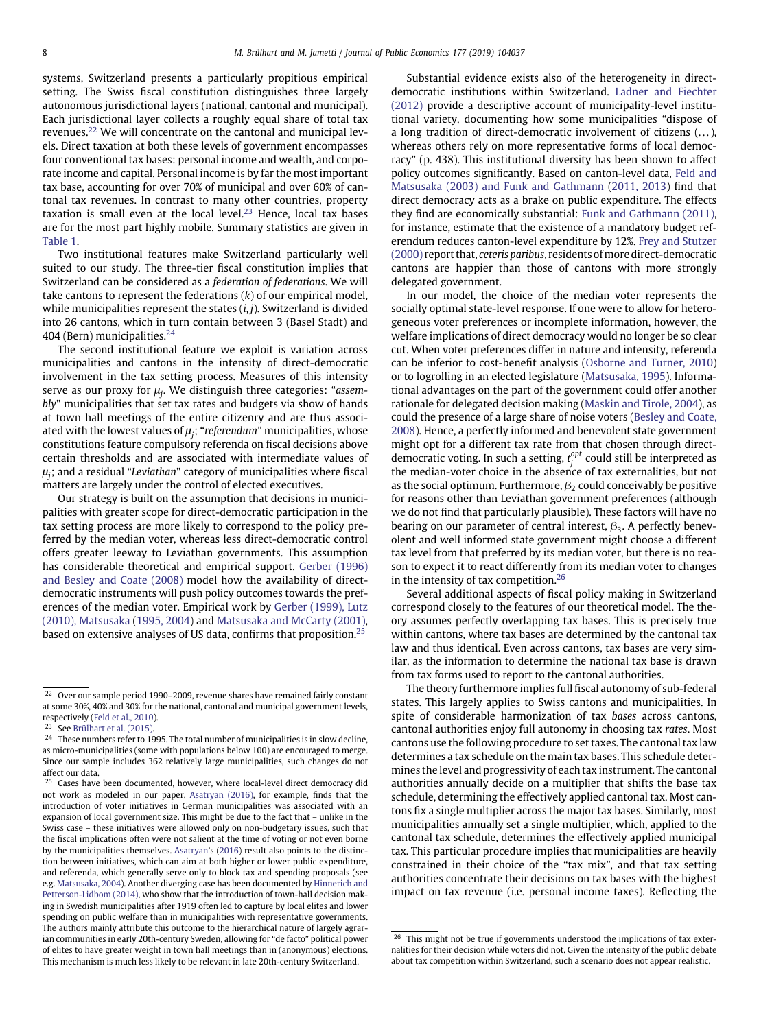systems, Switzerland presents a particularly propitious empirical setting. The Swiss fiscal constitution distinguishes three largely autonomous jurisdictional layers (national, cantonal and municipal). Each jurisdictional layer collects a roughly equal share of total tax revenues.[22](#page-7-0) We will concentrate on the cantonal and municipal levels. Direct taxation at both these levels of government encompasses four conventional tax bases: personal income and wealth, and corporate income and capital. Personal income is by far the most important tax base, accounting for over 70% of municipal and over 60% of cantonal tax revenues. In contrast to many other countries, property taxation is small even at the local level.<sup>[23](#page-7-1)</sup> Hence, local tax bases are for the most part highly mobile. Summary statistics are given in [Table 1.](#page-8-0)

Two institutional features make Switzerland particularly well suited to our study. The three-tier fiscal constitution implies that Switzerland can be considered as a *federation of federations*. We will take cantons to represent the federations (*k*) of our empirical model, while municipalities represent the states (*i*, *j*). Switzerland is divided into 26 cantons, which in turn contain between 3 (Basel Stadt) and 404 (Bern) municipalities[.24](#page-7-2)

The second institutional feature we exploit is variation across municipalities and cantons in the intensity of direct-democratic involvement in the tax setting process. Measures of this intensity serve as our proxy for *l<sup>j</sup>* . We distinguish three categories: "*assembly*" municipalities that set tax rates and budgets via show of hands at town hall meetings of the entire citizenry and are thus associated with the lowest values of *l<sup>j</sup>* ; "*referendum*" municipalities, whose constitutions feature compulsory referenda on fiscal decisions above certain thresholds and are associated with intermediate values of *lj* ; and a residual "*Leviathan*" category of municipalities where fiscal matters are largely under the control of elected executives.

Our strategy is built on the assumption that decisions in municipalities with greater scope for direct-democratic participation in the tax setting process are more likely to correspond to the policy preferred by the median voter, whereas less direct-democratic control offers greater leeway to Leviathan governments. This assumption has considerable theoretical and empirical support. Gerber (1996) and Besley and Coate (2008) model how the availability of directdemocratic instruments will push policy outcomes towards the preferences of the median voter. Empirical work by Gerber (1999), Lutz (2010), Matsusaka [\(1995, 2004\)](#page-14-19) and [Matsusaka and McCarty \(2001\),](#page-14-20) based on extensive analyses of US data, confirms that proposition.[25](#page-7-3)

Substantial evidence exists also of the heterogeneity in directdemocratic institutions within Switzerland. Ladner and Fiechter (2012) provide a descriptive account of municipality-level institutional variety, documenting how some municipalities "dispose of a long tradition of direct-democratic involvement of citizens  $(...),$ whereas others rely on more representative forms of local democracy" (p. 438). This institutional diversity has been shown to affect policy outcomes significantly. Based on canton-level data, Feld and Matsusaka (2003) and Funk and Gathmann [\(2011, 2013\)](#page-14-25) find that direct democracy acts as a brake on public expenditure. The effects they find are economically substantial: [Funk and Gathmann \(2011\),](#page-14-25) for instance, estimate that the existence of a mandatory budget referendum reduces canton-level expenditure by 12%. Frey and Stutzer (2000) report that, *ceteris paribus*, residents ofmore direct-democratic cantons are happier than those of cantons with more strongly delegated government.

In our model, the choice of the median voter represents the socially optimal state-level response. If one were to allow for heterogeneous voter preferences or incomplete information, however, the welfare implications of direct democracy would no longer be so clear cut. When voter preferences differ in nature and intensity, referenda can be inferior to cost-benefit analysis [\(Osborne and Turner, 2010\)](#page-14-26) or to logrolling in an elected legislature [\(Matsusaka, 1995\)](#page-14-19). Informational advantages on the part of the government could offer another rationale for delegated decision making [\(Maskin and Tirole, 2004\)](#page-14-27), as could the presence of a large share of noise voters (Besley and Coate, 2008). Hence, a perfectly informed and benevolent state government might opt for a different tax rate from that chosen through directdemocratic voting. In such a setting,  $t_j^{opt}$  could still be interpreted as the median-voter choice in the absence of tax externalities, but not as the social optimum. Furthermore,  $\beta_2$  could conceivably be positive for reasons other than Leviathan government preferences (although we do not find that particularly plausible). These factors will have no bearing on our parameter of central interest,  $\beta_3$ . A perfectly benevolent and well informed state government might choose a different tax level from that preferred by its median voter, but there is no reason to expect it to react differently from its median voter to changes in the intensity of tax competition.[26](#page-7-4)

Several additional aspects of fiscal policy making in Switzerland correspond closely to the features of our theoretical model. The theory assumes perfectly overlapping tax bases. This is precisely true within cantons, where tax bases are determined by the cantonal tax law and thus identical. Even across cantons, tax bases are very similar, as the information to determine the national tax base is drawn from tax forms used to report to the cantonal authorities.

The theory furthermore implies full fiscal autonomy of sub-federal states. This largely applies to Swiss cantons and municipalities. In spite of considerable harmonization of tax *bases* across cantons, cantonal authorities enjoy full autonomy in choosing tax *rates*. Most cantons use the following procedure to set taxes. The cantonal tax law determines a tax schedule on the main tax bases. This schedule determines the level and progressivity of each tax instrument. The cantonal authorities annually decide on a multiplier that shifts the base tax schedule, determining the effectively applied cantonal tax. Most cantons fix a single multiplier across the major tax bases. Similarly, most municipalities annually set a single multiplier, which, applied to the cantonal tax schedule, determines the effectively applied municipal tax. This particular procedure implies that municipalities are heavily constrained in their choice of the "tax mix", and that tax setting authorities concentrate their decisions on tax bases with the highest impact on tax revenue (i.e. personal income taxes). Reflecting the

<span id="page-7-0"></span><sup>22</sup> Over our sample period 1990–2009, revenue shares have remained fairly constant at some 30%, 40% and 30% for the national, cantonal and municipal government levels, respectively [\(Feld et al., 2010\)](#page-14-21).

<span id="page-7-1"></span>See [Brülhart et al. \(2015\).](#page-14-22)

<span id="page-7-2"></span> $24$  These numbers refer to 1995. The total number of municipalities is in slow decline, as micro-municipalities (some with populations below 100) are encouraged to merge. Since our sample includes 362 relatively large municipalities, such changes do not affect our data.

<span id="page-7-3"></span><sup>&</sup>lt;sup>25</sup> Cases have been documented, however, where local-level direct democracy did not work as modeled in our paper. [Asatryan \(2016\),](#page-14-23) for example, finds that the introduction of voter initiatives in German municipalities was associated with an expansion of local government size. This might be due to the fact that – unlike in the Swiss case – these initiatives were allowed only on non-budgetary issues, such that the fiscal implications often were not salient at the time of voting or not even borne by the municipalities themselves. [Asatryan'](#page-14-23)s [\(2016\)](#page-14-23) result also points to the distinction between initiatives, which can aim at both higher or lower public expenditure, and referenda, which generally serve only to block tax and spending proposals (see e.g. [Matsusaka, 2004\)](#page-14-24). Another diverging case has been documented by Hinnerich and Petterson-Lidbom (2014), who show that the introduction of town-hall decision making in Swedish municipalities after 1919 often led to capture by local elites and lower spending on public welfare than in municipalities with representative governments. The authors mainly attribute this outcome to the hierarchical nature of largely agrarian communities in early 20th-century Sweden, allowing for "de facto" political power of elites to have greater weight in town hall meetings than in (anonymous) elections. This mechanism is much less likely to be relevant in late 20th-century Switzerland.

<span id="page-7-4"></span> $26$  This might not be true if governments understood the implications of tax externalities for their decision while voters did not. Given the intensity of the public debate about tax competition within Switzerland, such a scenario does not appear realistic.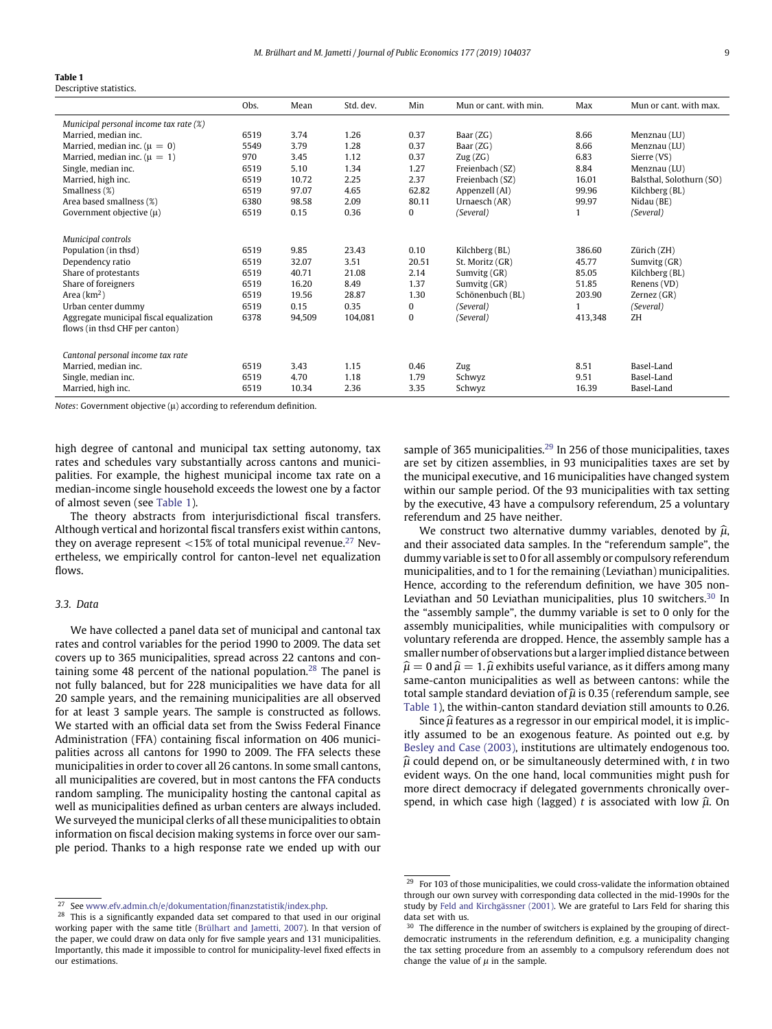#### <span id="page-8-0"></span>**Table 1**

|  |  |  | Descriptive statistics. |  |
|--|--|--|-------------------------|--|
|--|--|--|-------------------------|--|

|                                         | Obs. | Mean   | Std. dev. | Min      | Mun or cant, with min. | Max     | Mun or cant, with max.   |
|-----------------------------------------|------|--------|-----------|----------|------------------------|---------|--------------------------|
| Municipal personal income tax rate (%)  |      |        |           |          |                        |         |                          |
| Married, median inc.                    | 6519 | 3.74   | 1.26      | 0.37     | Baar (ZG)              | 8.66    | Menznau (LU)             |
| Married, median inc. ( $\mu = 0$ )      | 5549 | 3.79   | 1.28      | 0.37     | Baar (ZG)              | 8.66    | Menznau (LU)             |
| Married, median inc. ( $\mu = 1$ )      | 970  | 3.45   | 1.12      | 0.37     | Zug(ZG)                | 6.83    | Sierre (VS)              |
| Single, median inc.                     | 6519 | 5.10   | 1.34      | 1.27     | Freienbach (SZ)        | 8.84    | Menznau (LU)             |
| Married, high inc.                      | 6519 | 10.72  | 2.25      | 2.37     | Freienbach (SZ)        | 16.01   | Balsthal, Solothurn (SO) |
| Smallness (%)                           | 6519 | 97.07  | 4.65      | 62.82    | Appenzell (AI)         | 99.96   | Kilchberg (BL)           |
| Area based smallness (%)                | 6380 | 98.58  | 2.09      | 80.11    | Urnaesch (AR)          | 99.97   | Nidau (BE)               |
| Government objective $(\mu)$            | 6519 | 0.15   | 0.36      | 0        | (Several)              |         | (Several)                |
| Municipal controls                      |      |        |           |          |                        |         |                          |
| Population (in thsd)                    | 6519 | 9.85   | 23.43     | 0.10     | Kilchberg (BL)         | 386.60  | Zürich (ZH)              |
| Dependency ratio                        | 6519 | 32.07  | 3.51      | 20.51    | St. Moritz (GR)        | 45.77   | Sumvitg $(GR)$           |
| Share of protestants                    | 6519 | 40.71  | 21.08     | 2.14     | Sumvitg (GR)           | 85.05   | Kilchberg (BL)           |
| Share of foreigners                     | 6519 | 16.20  | 8.49      | 1.37     | Sumvitg (GR)           | 51.85   | Renens (VD)              |
| Area $(km2)$                            | 6519 | 19.56  | 28.87     | 1.30     | Schönenbuch (BL)       | 203.90  | Zernez (GR)              |
| Urban center dummy                      | 6519 | 0.15   | 0.35      | 0        | (Several)              |         | (Several)                |
| Aggregate municipal fiscal equalization | 6378 | 94,509 | 104,081   | $\bf{0}$ | (Several)              | 413,348 | ZH                       |
| flows (in thsd CHF per canton)          |      |        |           |          |                        |         |                          |
| Cantonal personal income tax rate       |      |        |           |          |                        |         |                          |
| Married, median inc.                    | 6519 | 3.43   | 1.15      | 0.46     | Zug                    | 8.51    | Basel-Land               |
| Single, median inc.                     | 6519 | 4.70   | 1.18      | 1.79     | Schwyz                 | 9.51    | Basel-Land               |
| Married, high inc.                      | 6519 | 10.34  | 2.36      | 3.35     | Schwyz                 | 16.39   | Basel-Land               |

*Notes: Government objective (u) according to referendum definition.* 

high degree of cantonal and municipal tax setting autonomy, tax rates and schedules vary substantially across cantons and municipalities. For example, the highest municipal income tax rate on a median-income single household exceeds the lowest one by a factor of almost seven (see [Table 1\)](#page-8-0).

The theory abstracts from interjurisdictional fiscal transfers. Although vertical and horizontal fiscal transfers exist within cantons, they on average represent *<*15% of total municipal revenue[.27](#page-8-1) Nevertheless, we empirically control for canton-level net equalization flows.

#### *3.3. Data*

We have collected a panel data set of municipal and cantonal tax rates and control variables for the period 1990 to 2009. The data set covers up to 365 municipalities, spread across 22 cantons and con-taining some 48 percent of the national population.<sup>[28](#page-8-2)</sup> The panel is not fully balanced, but for 228 municipalities we have data for all 20 sample years, and the remaining municipalities are all observed for at least 3 sample years. The sample is constructed as follows. We started with an official data set from the Swiss Federal Finance Administration (FFA) containing fiscal information on 406 municipalities across all cantons for 1990 to 2009. The FFA selects these municipalities in order to cover all 26 cantons. In some small cantons, all municipalities are covered, but in most cantons the FFA conducts random sampling. The municipality hosting the cantonal capital as well as municipalities defined as urban centers are always included. We surveyed the municipal clerks of all these municipalities to obtain information on fiscal decision making systems in force over our sample period. Thanks to a high response rate we ended up with our sample of 365 municipalities.<sup>[29](#page-8-3)</sup> In 256 of those municipalities, taxes are set by citizen assemblies, in 93 municipalities taxes are set by the municipal executive, and 16 municipalities have changed system within our sample period. Of the 93 municipalities with tax setting by the executive, 43 have a compulsory referendum, 25 a voluntary referendum and 25 have neither.

We construct two alternative dummy variables, denoted by  $\hat{\mu}$ , and their associated data samples. In the "referendum sample", the dummy variable is set to 0 for all assembly or compulsory referendum municipalities, and to 1 for the remaining (Leviathan) municipalities. Hence, according to the referendum definition, we have 305 non-Leviathan and 50 Leviathan municipalities, plus 10 switchers.<sup>[30](#page-8-4)</sup> In the "assembly sample", the dummy variable is set to 0 only for the assembly municipalities, while municipalities with compulsory or voluntary referenda are dropped. Hence, the assembly sample has a smaller number of observations but a larger implied distance between  $\hat{\mu} = 0$  and  $\hat{\mu} = 1$ .  $\hat{\mu}$  exhibits useful variance, as it differs among many same-canton municipalities as well as between cantons: while the total sample standard deviation of  $\widehat{\mu}$  is 0.35 (referendum sample, see [Table 1\)](#page-8-0), the within-canton standard deviation still amounts to 0.26.

Since  $\hat{\mu}$  features as a regressor in our empirical model, it is implicitly assumed to be an exogenous feature. As pointed out e.g. by [Besley and Case \(2003\),](#page-14-29) institutions are ultimately endogenous too.  $\hat{\mu}$  could depend on, or be simultaneously determined with, *t* in two evident ways. On the one hand, local communities might push for more direct democracy if delegated governments chronically overspend, in which case high (lagged)  $t$  is associated with low  $\hat{\mu}$ . On

<sup>27</sup> See [www.efv.admin.ch/e/dokumentation/finanzstatistik/index.php.](https://www.efv.admin.ch/e/dokumentation/finanzstatistik/index.php)

<span id="page-8-2"></span><span id="page-8-1"></span><sup>&</sup>lt;sup>28</sup> This is a significantly expanded data set compared to that used in our original working paper with the same title [\(Brülhart and Jametti, 2007\)](#page-14-28). In that version of the paper, we could draw on data only for five sample years and 131 municipalities. Importantly, this made it impossible to control for municipality-level fixed effects in our estimations.

<span id="page-8-3"></span> $^{29}\,$  For 103 of those municipalities, we could cross-validate the information obtained through our own survey with corresponding data collected in the mid-1990s for the study by [Feld and Kirchgässner \(2001\).](#page-14-30) We are grateful to Lars Feld for sharing this data set with us.

<span id="page-8-4"></span><sup>&</sup>lt;sup>30</sup> The difference in the number of switchers is explained by the grouping of directdemocratic instruments in the referendum definition, e.g. a municipality changing the tax setting procedure from an assembly to a compulsory referendum does not change the value of  $\mu$  in the sample.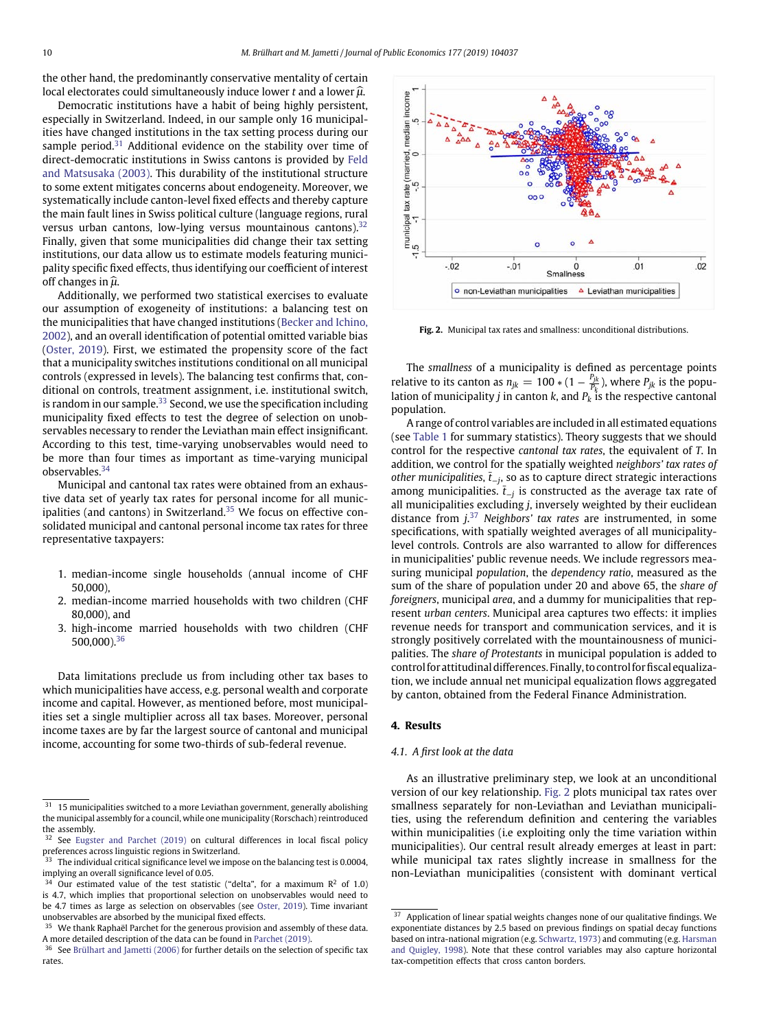the other hand, the predominantly conservative mentality of certain local electorates could simultaneously induce lower *<sup>t</sup>* and a lower *<sup>l</sup>*.

Democratic institutions have a habit of being highly persistent, especially in Switzerland. Indeed, in our sample only 16 municipalities have changed institutions in the tax setting process during our sample period. $31$  Additional evidence on the stability over time of direct-democratic institutions in Swiss cantons is provided by Feld and Matsusaka (2003). This durability of the institutional structure to some extent mitigates concerns about endogeneity. Moreover, we systematically include canton-level fixed effects and thereby capture the main fault lines in Swiss political culture (language regions, rural versus urban cantons, low-lying versus mountainous cantons). $32$ Finally, given that some municipalities did change their tax setting institutions, our data allow us to estimate models featuring municipality specific fixed effects, thus identifying our coefficient of interest off changes in *<sup>l</sup>*.

Additionally, we performed two statistical exercises to evaluate our assumption of exogeneity of institutions: a balancing test on the municipalities that have changed institutions (Becker and Ichino, 2002), and an overall identification of potential omitted variable bias [\(Oster, 2019\)](#page-14-31). First, we estimated the propensity score of the fact that a municipality switches institutions conditional on all municipal controls (expressed in levels). The balancing test confirms that, conditional on controls, treatment assignment, i.e. institutional switch, is random in our sample. $33$  Second, we use the specification including municipality fixed effects to test the degree of selection on unobservables necessary to render the Leviathan main effect insignificant. According to this test, time-varying unobservables would need to be more than four times as important as time-varying municipal observables.[34](#page-9-4)

Municipal and cantonal tax rates were obtained from an exhaustive data set of yearly tax rates for personal income for all munic-ipalities (and cantons) in Switzerland.<sup>[35](#page-9-5)</sup> We focus on effective consolidated municipal and cantonal personal income tax rates for three representative taxpayers:

- 1. median-income single households (annual income of CHF 50,000),
- 2. median-income married households with two children (CHF 80,000), and
- 3. high-income married households with two children (CHF 500,000)[.36](#page-9-6)

Data limitations preclude us from including other tax bases to which municipalities have access, e.g. personal wealth and corporate income and capital. However, as mentioned before, most municipalities set a single multiplier across all tax bases. Moreover, personal income taxes are by far the largest source of cantonal and municipal income, accounting for some two-thirds of sub-federal revenue.



<span id="page-9-8"></span>**Fig. 2.** Municipal tax rates and smallness: unconditional distributions.

The *smallness* of a municipality is defined as percentage points relative to its canton as  $n_{jk} = 100 * (1 - \frac{P_{jk}}{P_k})$ , where  $P_{jk}$  is the population of municipality *j* in canton *k*, and *Pk* is the respective cantonal population.

A range of control variables are included in all estimated equations (see [Table 1](#page-8-0) for summary statistics). Theory suggests that we should control for the respective *cantonal tax rates*, the equivalent of *T*. In addition, we control for the spatially weighted *neighbors' tax rates of* other municipalities, t<sub>−j</sub>, so as to capture direct strategic interactions among municipalities.  $t$ <sub>−*j*</sub> is constructed as the average tax rate of all municipalities excluding *j*, inversely weighted by their euclidean distance from *j*. [37](#page-9-7) *Neighbors' tax rates* are instrumented, in some specifications, with spatially weighted averages of all municipalitylevel controls. Controls are also warranted to allow for differences in municipalities' public revenue needs. We include regressors measuring municipal *population*, the *dependency ratio*, measured as the sum of the share of population under 20 and above 65, the *share of foreigners*, municipal *area*, and a dummy for municipalities that represent *urban centers*. Municipal area captures two effects: it implies revenue needs for transport and communication services, and it is strongly positively correlated with the mountainousness of municipalities. The *share of Protestants* in municipal population is added to control for attitudinal differences. Finally, to control forfiscal equalization, we include annual net municipal equalization flows aggregated by canton, obtained from the Federal Finance Administration.

#### <span id="page-9-0"></span>**4. Results**

# *4.1. A first look at the data*

As an illustrative preliminary step, we look at an unconditional version of our key relationship. [Fig. 2](#page-9-8) plots municipal tax rates over smallness separately for non-Leviathan and Leviathan municipalities, using the referendum definition and centering the variables within municipalities (i.e exploiting only the time variation within municipalities). Our central result already emerges at least in part: while municipal tax rates slightly increase in smallness for the non-Leviathan municipalities (consistent with dominant vertical

<span id="page-9-1"></span> $31$  15 municipalities switched to a more Leviathan government, generally abolishing the municipal assembly for a council, while one municipality (Rorschach) reintroduced the assembly.

<span id="page-9-2"></span><sup>&</sup>lt;sup>32</sup> See [Eugster and Parchet \(2019\)](#page-14-32) on cultural differences in local fiscal policy preferences across linguistic regions in Switzerland.

<span id="page-9-3"></span> $33$  The individual critical significance level we impose on the balancing test is 0.0004, implying an overall significance level of 0.05.<br><sup>34</sup> Our estimated value of the test state

<span id="page-9-4"></span>Our estimated value of the test statistic ("delta", for a maximum  $R^2$  of 1.0) is 4.7, which implies that proportional selection on unobservables would need to be 4.7 times as large as selection on observables (see [Oster, 2019\)](#page-14-31). Time invariant unobservables are absorbed by the municipal fixed effects.

<span id="page-9-5"></span>We thank Raphaël Parchet for the generous provision and assembly of these data. A more detailed description of the data can be found in [Parchet \(2019\).](#page-14-33)

<span id="page-9-6"></span><sup>&</sup>lt;sup>36</sup> See [Brülhart and Jametti \(2006\)](#page-14-34) for further details on the selection of specific tax rates.

<span id="page-9-7"></span><sup>&</sup>lt;sup>37</sup> Application of linear spatial weights changes none of our qualitative findings. We exponentiate distances by 2.5 based on previous findings on spatial decay functions based on intra-national migration (e.g. [Schwartz, 1973\)](#page-14-35) and commuting (e.g. Harsman and Quigley, 1998). Note that these control variables may also capture horizontal tax-competition effects that cross canton borders.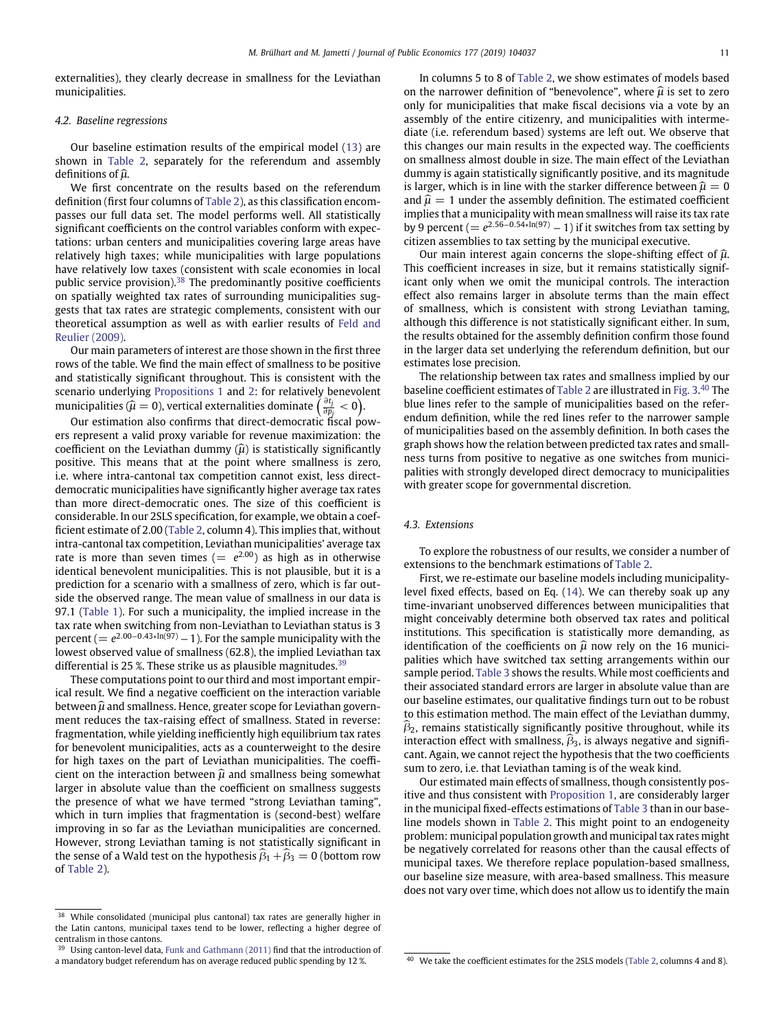externalities), they clearly decrease in smallness for the Leviathan municipalities.

#### *4.2. Baseline regressions*

Our baseline estimation results of the empirical model [\(13\)](#page-6-3) are shown in [Table 2,](#page-11-0) separately for the referendum and assembly definitions of *<sup>l</sup>*.

We first concentrate on the results based on the referendum definition (first four columns of [Table 2\)](#page-11-0), as this classification encompasses our full data set. The model performs well. All statistically significant coefficients on the control variables conform with expectations: urban centers and municipalities covering large areas have relatively high taxes; while municipalities with large populations have relatively low taxes (consistent with scale economies in local public service provision).<sup>[38](#page-10-0)</sup> The predominantly positive coefficients on spatially weighted tax rates of surrounding municipalities suggests that tax rates are strategic complements, consistent with our theoretical assumption as well as with earlier results of Feld and Reulier (2009).

Our main parameters of interest are those shown in the first three rows of the table. We find the main effect of smallness to be positive and statistically significant throughout. This is consistent with the scenario underlying [Propositions 1](#page-5-1) and [2:](#page-5-2) for relatively benevolent municipalities ( $\widehat{\mu} = 0$ ), vertical externalities dominate  $\Big(\frac{\partial t_j}{\partial p_j} < 0\Big).$ 

Our estimation also confirms that direct-democratic fiscal powers represent a valid proxy variable for revenue maximization: the coefficient on the Leviathan dummy  $(\widehat{\mu})$  is statistically significantly positive. This means that at the point where smallness is zero, i.e. where intra-cantonal tax competition cannot exist, less directdemocratic municipalities have significantly higher average tax rates than more direct-democratic ones. The size of this coefficient is considerable. In our 2SLS specification, for example, we obtain a coefficient estimate of 2.00 [\(Table 2,](#page-11-0) column 4). This implies that, without intra-cantonal tax competition, Leviathan municipalities' average tax rate is more than seven times  $(= e^{2.00})$  as high as in otherwise identical benevolent municipalities. This is not plausible, but it is a prediction for a scenario with a smallness of zero, which is far outside the observed range. The mean value of smallness in our data is 97.1 [\(Table 1\)](#page-8-0). For such a municipality, the implied increase in the tax rate when switching from non-Leviathan to Leviathan status is 3 percent (=  $e^{2.00-0.43*ln(97)} - 1$ ). For the sample municipality with the lowest observed value of smallness (62.8), the implied Leviathan tax differential is 25 %. These strike us as plausible magnitudes.<sup>[39](#page-10-1)</sup>

These computations point to our third and most important empirical result. We find a negative coefficient on the interaction variable between  $\hat{\mu}$  and smallness. Hence, greater scope for Leviathan government reduces the tax-raising effect of smallness. Stated in reverse: fragmentation, while yielding inefficiently high equilibrium tax rates for benevolent municipalities, acts as a counterweight to the desire for high taxes on the part of Leviathan municipalities. The coefficient on the interaction between  $\hat{\mu}$  and smallness being somewhat larger in absolute value than the coefficient on smallness suggests the presence of what we have termed "strong Leviathan taming", which in turn implies that fragmentation is (second-best) welfare improving in so far as the Leviathan municipalities are concerned. However, strong Leviathan taming is not statistically significant in the sense of a Wald test on the hypothesis  $\widehat{\beta}_1 + \widehat{\beta}_3 = 0$  (bottom row of [Table 2\)](#page-11-0).

In columns 5 to 8 of [Table 2,](#page-11-0) we show estimates of models based on the narrower definition of "benevolence", where  $\hat{\mu}$  is set to zero only for municipalities that make fiscal decisions via a vote by an assembly of the entire citizenry, and municipalities with intermediate (i.e. referendum based) systems are left out. We observe that this changes our main results in the expected way. The coefficients on smallness almost double in size. The main effect of the Leviathan dummy is again statistically significantly positive, and its magnitude is larger, which is in line with the starker difference between  $\hat{\mu} = 0$ and  $\hat{\mu} = 1$  under the assembly definition. The estimated coefficient implies that a municipality with mean smallness will raise its tax rate by 9 percent ( $= e^{2.56-0.54*ln(97)} - 1$ ) if it switches from tax setting by citizen assemblies to tax setting by the municipal executive.

Our main interest again concerns the slope-shifting effect of *<sup>l</sup>*. This coefficient increases in size, but it remains statistically significant only when we omit the municipal controls. The interaction effect also remains larger in absolute terms than the main effect of smallness, which is consistent with strong Leviathan taming, although this difference is not statistically significant either. In sum, the results obtained for the assembly definition confirm those found in the larger data set underlying the referendum definition, but our estimates lose precision.

The relationship between tax rates and smallness implied by our baseline coefficient estimates of [Table 2](#page-11-0) are illustrated in [Fig. 3.](#page-11-1) [40](#page-10-2) The blue lines refer to the sample of municipalities based on the referendum definition, while the red lines refer to the narrower sample of municipalities based on the assembly definition. In both cases the graph shows how the relation between predicted tax rates and smallness turns from positive to negative as one switches from municipalities with strongly developed direct democracy to municipalities with greater scope for governmental discretion.

#### *4.3. Extensions*

To explore the robustness of our results, we consider a number of extensions to the benchmark estimations of [Table 2.](#page-11-0)

First, we re-estimate our baseline models including municipalitylevel fixed effects, based on Eq. [\(14\)](#page-6-4). We can thereby soak up any time-invariant unobserved differences between municipalities that might conceivably determine both observed tax rates and political institutions. This specification is statistically more demanding, as identification of the coefficients on  $\hat{\mu}$  now rely on the 16 municipalities which have switched tax setting arrangements within our sample period. [Table 3](#page-12-1) shows the results. While most coefficients and their associated standard errors are larger in absolute value than are our baseline estimates, our qualitative findings turn out to be robust to this estimation method. The main effect of the Leviathan dummy,  $\widehat{\beta}_2$ , remains statistically significantly positive throughout, while its interaction effect with smallness,  $\beta_3$ , is always negative and significant. Again, we cannot reject the hypothesis that the two coefficients sum to zero, i.e. that Leviathan taming is of the weak kind.

Our estimated main effects of smallness, though consistently positive and thus consistent with [Proposition 1,](#page-5-1) are considerably larger in the municipal fixed-effects estimations of [Table 3](#page-12-1) than in our baseline models shown in [Table 2.](#page-11-0) This might point to an endogeneity problem: municipal population growth and municipal tax rates might be negatively correlated for reasons other than the causal effects of municipal taxes. We therefore replace population-based smallness, our baseline size measure, with area-based smallness. This measure does not vary over time, which does not allow us to identify the main

<span id="page-10-0"></span><sup>&</sup>lt;sup>38</sup> While consolidated (municipal plus cantonal) tax rates are generally higher in the Latin cantons, municipal taxes tend to be lower, reflecting a higher degree of centralism in those cantons.

<span id="page-10-1"></span><sup>&</sup>lt;sup>39</sup> Using canton-level data, [Funk and Gathmann \(2011\)](#page-14-25) find that the introduction of a mandatory budget referendum has on average reduced public spending by 12 %.

<span id="page-10-2"></span><sup>40</sup> We take the coefficient estimates for the 2SLS models [\(Table 2,](#page-11-0) columns 4 and 8).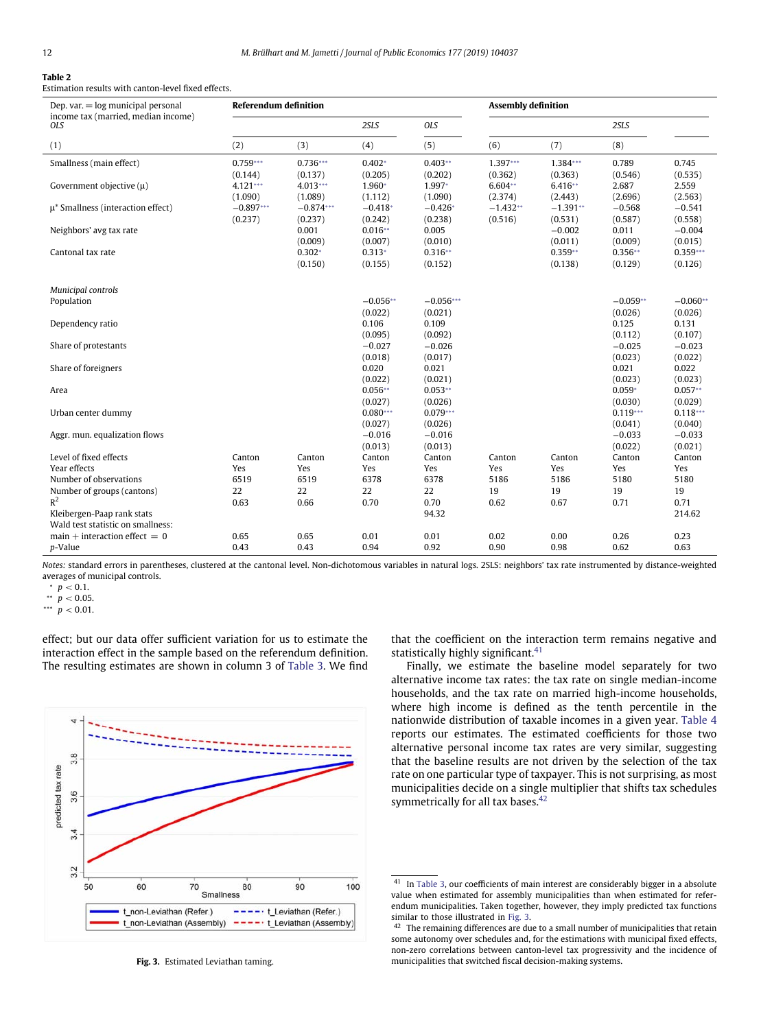#### <span id="page-11-0"></span>**Table 2** Estimation results with canton-level fixed effects.

| Dep. var, $=$ log municipal personal                                 | <b>Referendum definition</b> |                        |                                |                                | <b>Assembly definition</b> |                       |                                |                                |
|----------------------------------------------------------------------|------------------------------|------------------------|--------------------------------|--------------------------------|----------------------------|-----------------------|--------------------------------|--------------------------------|
| income tax (married, median income)<br><b>OLS</b>                    |                              |                        | 2SLS                           | OLS                            |                            |                       | 2SLS                           |                                |
| (1)                                                                  | (2)                          | (3)                    | (4)                            | (5)                            | (6)                        | (7)                   | (8)                            |                                |
| Smallness (main effect)                                              | $0.759***$<br>(0.144)        | $0.736***$<br>(0.137)  | $0.402*$<br>(0.205)            | $0.403**$<br>(0.202)           | $1.397***$<br>(0.362)      | $1.384***$<br>(0.363) | 0.789<br>(0.546)               | 0.745<br>(0.535)               |
| Government objective $(\mu)$                                         | $4.121***$<br>(1.090)        | 4.013***<br>(1.089)    | 1.960*<br>(1.112)              | 1.997*<br>(1.090)              | $6.604**$<br>(2.374)       | $6.416**$<br>(2.443)  | 2.687<br>(2.696)               | 2.559<br>(2.563)               |
| $\mu^*$ Smallness (interaction effect)                               | $-0.897***$<br>(0.237)       | $-0.874***$<br>(0.237) | $-0.418*$<br>(0.242)           | $-0.426*$<br>(0.238)           | $-1.432**$<br>(0.516)      | $-1.391**$<br>(0.531) | $-0.568$<br>(0.587)            | $-0.541$<br>(0.558)            |
| Neighbors' avg tax rate                                              |                              | 0.001<br>(0.009)       | $0.016**$<br>(0.007)           | 0.005<br>(0.010)               |                            | $-0.002$<br>(0.011)   | 0.011<br>(0.009)               | $-0.004$<br>(0.015)            |
| Cantonal tax rate                                                    |                              | $0.302*$<br>(0.150)    | $0.313*$<br>(0.155)            | $0.316**$<br>(0.152)           |                            | $0.359**$<br>(0.138)  | $0.356**$<br>(0.129)           | $0.359***$<br>(0.126)          |
| Municipal controls                                                   |                              |                        |                                |                                |                            |                       |                                |                                |
| Population                                                           |                              |                        | $-0.056**$                     | $-0.056***$<br>(0.021)         |                            |                       | $-0.059**$                     | $-0.060**$<br>(0.026)          |
| Dependency ratio                                                     |                              |                        | (0.022)<br>0.106               | 0.109                          |                            |                       | (0.026)<br>0.125               | 0.131                          |
| Share of protestants                                                 |                              |                        | (0.095)<br>$-0.027$            | (0.092)<br>$-0.026$            |                            |                       | (0.112)<br>$-0.025$            | (0.107)<br>$-0.023$            |
| Share of foreigners                                                  |                              |                        | (0.018)<br>0.020               | (0.017)<br>0.021               |                            |                       | (0.023)<br>0.021               | (0.022)<br>0.022               |
| Area                                                                 |                              |                        | (0.022)<br>$0.056**$           | (0.021)<br>$0.053**$           |                            |                       | (0.023)<br>$0.059*$            | (0.023)<br>$0.057**$           |
| Urban center dummy                                                   |                              |                        | (0.027)<br>$0.080***$          | (0.026)<br>$0.079***$          |                            |                       | (0.030)<br>$0.119***$          | (0.029)<br>$0.118***$          |
| Aggr, mun. equalization flows                                        |                              |                        | (0.027)<br>$-0.016$<br>(0.013) | (0.026)<br>$-0.016$<br>(0.013) |                            |                       | (0.041)<br>$-0.033$<br>(0.022) | (0.040)<br>$-0.033$<br>(0.021) |
| Level of fixed effects                                               | Canton                       | Canton                 | Canton                         | Canton                         | Canton                     | Canton                | Canton                         | Canton                         |
| Year effects                                                         | Yes                          | Yes                    | Yes                            | Yes                            | Yes                        | Yes                   | Yes                            | Yes                            |
| Number of observations                                               | 6519                         | 6519                   | 6378                           | 6378                           | 5186                       | 5186                  | 5180                           | 5180                           |
| Number of groups (cantons)                                           | 22                           | 22                     | 22                             | 22                             | 19                         | 19                    | 19                             | 19                             |
| $R^2$                                                                | 0.63                         | 0.66                   | 0.70                           | 0.70                           | 0.62                       | 0.67                  | 0.71                           | 0.71                           |
| Kleibergen-Paap rank stats                                           |                              |                        |                                | 94.32                          |                            |                       |                                | 214.62                         |
| Wald test statistic on smallness:<br>$main + interaction effect = 0$ | 0.65                         | 0.65                   | 0.01                           | 0.01                           | 0.02                       | 0.00                  | 0.26                           | 0.23                           |
| p-Value                                                              | 0.43                         | 0.43                   | 0.94                           | 0.92                           | 0.90                       | 0.98                  | 0.62                           | 0.63                           |
|                                                                      |                              |                        |                                |                                |                            |                       |                                |                                |

*Notes:* standard errors in parentheses, clustered at the cantonal level. Non-dichotomous variables in natural logs. 2SLS: neighbors' tax rate instrumented by distance-weighted averages of municipal controls.

<sup>∗</sup> *p <* 0*.*1.

 $*$  *p* < 0.05.

∗∗∗ *p <* 0*.*01.

effect; but our data offer sufficient variation for us to estimate the interaction effect in the sample based on the referendum definition. The resulting estimates are shown in column 3 of [Table 3.](#page-12-1) We find



<span id="page-11-1"></span>**Fig. 3.** Estimated Leviathan taming.

that the coefficient on the interaction term remains negative and statistically highly significant.<sup>[41](#page-11-2)</sup>

Finally, we estimate the baseline model separately for two alternative income tax rates: the tax rate on single median-income households, and the tax rate on married high-income households, where high income is defined as the tenth percentile in the nationwide distribution of taxable incomes in a given year. [Table 4](#page-13-0) reports our estimates. The estimated coefficients for those two alternative personal income tax rates are very similar, suggesting that the baseline results are not driven by the selection of the tax rate on one particular type of taxpayer. This is not surprising, as most municipalities decide on a single multiplier that shifts tax schedules symmetrically for all tax bases.[42](#page-11-3)

<span id="page-11-2"></span><sup>41</sup> In [Table 3,](#page-12-1) our coefficients of main interest are considerably bigger in a absolute value when estimated for assembly municipalities than when estimated for referendum municipalities. Taken together, however, they imply predicted tax functions similar to those illustrated in [Fig. 3.](#page-11-1)

<span id="page-11-3"></span> $42$  The remaining differences are due to a small number of municipalities that retain some autonomy over schedules and, for the estimations with municipal fixed effects, non-zero correlations between canton-level tax progressivity and the incidence of municipalities that switched fiscal decision-making systems.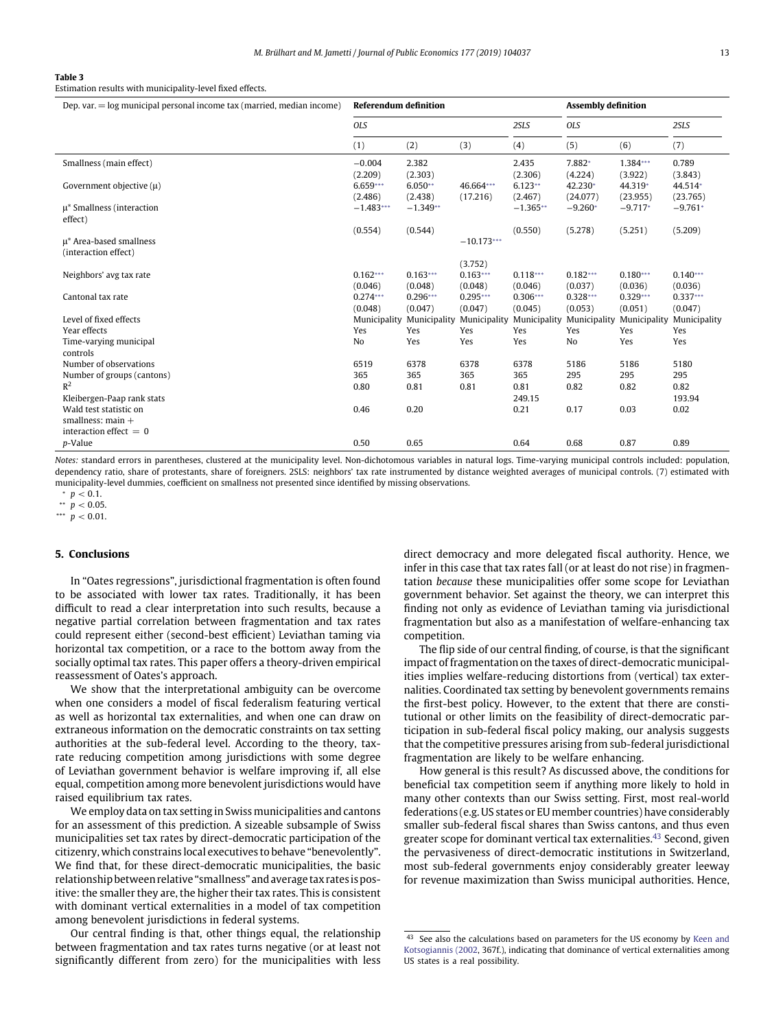#### <span id="page-12-1"></span>**Table 3**

Estimation results with municipality-level fixed effects.

| Den var = $\log$ municinal personal income tax (married median income) <b>Referend</b> |  |  |  |
|----------------------------------------------------------------------------------------|--|--|--|
|                                                                                        |  |  |  |

| Dep. var. $=$ log municipal personal income tax (married, median income) | Referendum definition |              |              |              | <b>Assembly definition</b> |              |              |  |
|--------------------------------------------------------------------------|-----------------------|--------------|--------------|--------------|----------------------------|--------------|--------------|--|
|                                                                          | OLS                   |              |              | 2SLS         | <b>OLS</b>                 |              | 2SLS         |  |
|                                                                          | (1)                   | (2)          | (3)          | (4)          | (5)                        | (6)          | (7)          |  |
| Smallness (main effect)                                                  | $-0.004$              | 2.382        |              | 2.435        | 7.882*                     | $1.384***$   | 0.789        |  |
|                                                                          | (2.209)               | (2.303)      |              | (2.306)      | (4.224)                    | (3.922)      | (3.843)      |  |
| Government objective $(\mu)$                                             | $6.659***$            | $6.050**$    | 46.664***    | $6.123**$    | 42.230*                    | 44.319*      | 44.514*      |  |
|                                                                          | (2.486)               | (2.438)      | (17.216)     | (2.467)      | (24.077)                   | (23.955)     | (23.765)     |  |
| $\mu^*$ Smallness (interaction                                           | $-1.483***$           | $-1.349**$   |              | $-1.365**$   | $-9.260*$                  | $-9.717*$    | $-9.761*$    |  |
| effect)                                                                  |                       |              |              |              |                            |              |              |  |
|                                                                          | (0.554)               | (0.544)      |              | (0.550)      | (5.278)                    | (5.251)      | (5.209)      |  |
| $\mu^*$ Area-based smallness                                             |                       |              | $-10.173***$ |              |                            |              |              |  |
| (interaction effect)                                                     |                       |              |              |              |                            |              |              |  |
|                                                                          |                       |              | (3.752)      |              |                            |              |              |  |
| Neighbors' avg tax rate                                                  | $0.162***$            | $0.163***$   | $0.163***$   | $0.118***$   | $0.182***$                 | $0.180***$   | $0.140***$   |  |
|                                                                          | (0.046)               | (0.048)      | (0.048)      | (0.046)      | (0.037)                    | (0.036)      | (0.036)      |  |
| Cantonal tax rate                                                        | $0.274***$            | $0.296***$   | $0.295***$   | $0.306***$   | $0.328***$                 | $0.329***$   | $0.337***$   |  |
|                                                                          | (0.048)               | (0.047)      | (0.047)      | (0.045)      | (0.053)                    | (0.051)      | (0.047)      |  |
| Level of fixed effects                                                   | Municipality          | Municipality | Municipality | Municipality | Municipality               | Municipality | Municipality |  |
| Year effects                                                             | Yes                   | Yes          | Yes          | Yes          | Yes                        | Yes          | Yes          |  |
| Time-varying municipal                                                   | No                    | Yes          | Yes          | Yes          | No                         | Yes          | Yes          |  |
| controls                                                                 |                       |              |              |              |                            |              |              |  |
| Number of observations                                                   | 6519                  | 6378         | 6378         | 6378         | 5186                       | 5186         | 5180         |  |
| Number of groups (cantons)                                               | 365                   | 365          | 365          | 365          | 295                        | 295          | 295          |  |
| $R^2$                                                                    | 0.80                  | 0.81         | 0.81         | 0.81         | 0.82                       | 0.82         | 0.82         |  |
| Kleibergen-Paap rank stats                                               |                       |              |              | 249.15       |                            |              | 193.94       |  |
| Wald test statistic on                                                   | 0.46                  | 0.20         |              | 0.21         | 0.17                       | 0.03         | 0.02         |  |
| smallness: main $+$                                                      |                       |              |              |              |                            |              |              |  |
| interaction effect $= 0$                                                 |                       |              |              |              |                            |              |              |  |
| p-Value                                                                  | 0.50                  | 0.65         |              | 0.64         | 0.68                       | 0.87         | 0.89         |  |

*Notes:* standard errors in parentheses, clustered at the municipality level. Non-dichotomous variables in natural logs. Time-varying municipal controls included: population, dependency ratio, share of protestants, share of foreigners. 2SLS: neighbors' tax rate instrumented by distance weighted averages of municipal controls. (7) estimated with municipality-level dummies, coefficient on smallness not presented since identified by missing observations.

 $$  $p < 0.05$ .

∗∗∗ *p <* 0*.*01.

#### <span id="page-12-0"></span>**5. Conclusions**

In "Oates regressions", jurisdictional fragmentation is often found to be associated with lower tax rates. Traditionally, it has been difficult to read a clear interpretation into such results, because a negative partial correlation between fragmentation and tax rates could represent either (second-best efficient) Leviathan taming via horizontal tax competition, or a race to the bottom away from the socially optimal tax rates. This paper offers a theory-driven empirical reassessment of Oates's approach.

We show that the interpretational ambiguity can be overcome when one considers a model of fiscal federalism featuring vertical as well as horizontal tax externalities, and when one can draw on extraneous information on the democratic constraints on tax setting authorities at the sub-federal level. According to the theory, taxrate reducing competition among jurisdictions with some degree of Leviathan government behavior is welfare improving if, all else equal, competition among more benevolent jurisdictions would have raised equilibrium tax rates.

We employ data on tax setting in Swiss municipalities and cantons for an assessment of this prediction. A sizeable subsample of Swiss municipalities set tax rates by direct-democratic participation of the citizenry, which constrains local executives to behave "benevolently". We find that, for these direct-democratic municipalities, the basic relationship between relative "smallness" and average tax rates is positive: the smaller they are, the higher their tax rates. This is consistent with dominant vertical externalities in a model of tax competition among benevolent jurisdictions in federal systems.

Our central finding is that, other things equal, the relationship between fragmentation and tax rates turns negative (or at least not significantly different from zero) for the municipalities with less direct democracy and more delegated fiscal authority. Hence, we infer in this case that tax rates fall (or at least do not rise) in fragmentation *because* these municipalities offer some scope for Leviathan government behavior. Set against the theory, we can interpret this finding not only as evidence of Leviathan taming via jurisdictional fragmentation but also as a manifestation of welfare-enhancing tax competition.

The flip side of our central finding, of course, is that the significant impact of fragmentation on the taxes of direct-democratic municipalities implies welfare-reducing distortions from (vertical) tax externalities. Coordinated tax setting by benevolent governments remains the first-best policy. However, to the extent that there are constitutional or other limits on the feasibility of direct-democratic participation in sub-federal fiscal policy making, our analysis suggests that the competitive pressures arising from sub-federal jurisdictional fragmentation are likely to be welfare enhancing.

How general is this result? As discussed above, the conditions for beneficial tax competition seem if anything more likely to hold in many other contexts than our Swiss setting. First, most real-world federations (e.g. US states or EU member countries) have considerably smaller sub-federal fiscal shares than Swiss cantons, and thus even greater scope for dominant vertical tax externalities.[43](#page-12-2) Second, given the pervasiveness of direct-democratic institutions in Switzerland, most sub-federal governments enjoy considerably greater leeway for revenue maximization than Swiss municipal authorities. Hence,

<span id="page-12-2"></span><sup>43</sup> See also the calculations based on parameters for the US economy by Keen and Kotsogiannis (2002, 367f.), indicating that dominance of vertical externalities among US states is a real possibility.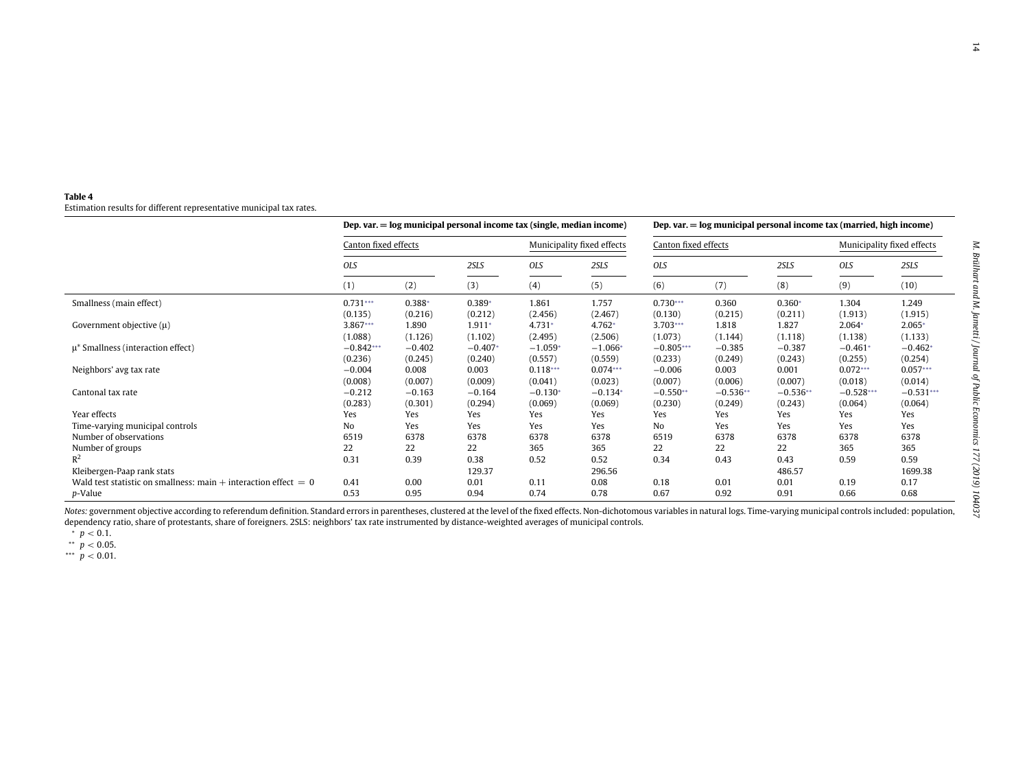|                                                                     |             |                      | Dep. var. = log municipal personal income tax (single, median income) |            |                            |                      |            | Dep. var. = log municipal personal income tax (married, high income) |                            |             |
|---------------------------------------------------------------------|-------------|----------------------|-----------------------------------------------------------------------|------------|----------------------------|----------------------|------------|----------------------------------------------------------------------|----------------------------|-------------|
|                                                                     |             | Canton fixed effects |                                                                       |            | Municipality fixed effects | Canton fixed effects |            |                                                                      | Municipality fixed effects |             |
|                                                                     | <b>OLS</b>  | 2SLS                 |                                                                       | <b>OLS</b> | 2SLS                       | <b>OLS</b>           |            | 2SLS                                                                 | <b>OLS</b>                 | 2SLS        |
|                                                                     | (1)         | (2)                  | (3)                                                                   | (4)        | (5)                        | (6)                  | (7)        | (8)                                                                  | (9)                        | (10)        |
| Smallness (main effect)                                             | $0.731***$  | $0.388*$             | $0.389*$                                                              | 1.861      | 1.757                      | $0.730***$           | 0.360      | $0.360*$                                                             | 1.304                      | 1.249       |
|                                                                     | (0.135)     | (0.216)              | (0.212)                                                               | (2.456)    | (2.467)                    | (0.130)              | (0.215)    | (0.211)                                                              | (1.913)                    | (1.915)     |
| Government objective $(\mu)$                                        | $3.867***$  | 1.890                | $1.911*$                                                              | $4.731*$   | 4.762*                     | $3.703***$           | 1.818      | 1.827                                                                | $2.064*$                   | $2.065*$    |
|                                                                     | (1.088)     | (1.126)              | (1.102)                                                               | (2.495)    | (2.506)                    | (1.073)              | (1.144)    | (1.118)                                                              | (1.138)                    | (1.133)     |
| $\mu^*$ Smallness (interaction effect)                              | $-0.842***$ | $-0.402$             | $-0.407*$                                                             | $-1.059*$  | $-1.066*$                  | $-0.805***$          | $-0.385$   | $-0.387$                                                             | $-0.461*$                  | $-0.462*$   |
|                                                                     | (0.236)     | (0.245)              | (0.240)                                                               | (0.557)    | (0.559)                    | (0.233)              | (0.249)    | (0.243)                                                              | (0.255)                    | (0.254)     |
| Neighbors' avg tax rate                                             | $-0.004$    | 0.008                | 0.003                                                                 | $0.118***$ | $0.074***$                 | $-0.006$             | 0.003      | 0.001                                                                | $0.072***$                 | $0.057***$  |
|                                                                     | (0.008)     | (0.007)              | (0.009)                                                               | (0.041)    | (0.023)                    | (0.007)              | (0.006)    | (0.007)                                                              | (0.018)                    | (0.014)     |
| Cantonal tax rate                                                   | $-0.212$    | $-0.163$             | $-0.164$                                                              | $-0.130*$  | $-0.134*$                  | $-0.550**$           | $-0.536**$ | $-0.536**$                                                           | $-0.528***$                | $-0.531***$ |
|                                                                     | (0.283)     | (0.301)              | (0.294)                                                               | (0.069)    | (0.069)                    | (0.230)              | (0.249)    | (0.243)                                                              | (0.064)                    | (0.064)     |
| Year effects                                                        | Yes         | Yes                  | Yes                                                                   | Yes        | Yes                        | Yes                  | Yes        | Yes                                                                  | Yes                        | Yes         |
| Time-varying municipal controls                                     | No          | Yes                  | Yes                                                                   | Yes        | Yes                        | No                   | Yes        | Yes                                                                  | Yes                        | Yes         |
| Number of observations                                              | 6519        | 6378                 | 6378                                                                  | 6378       | 6378                       | 6519                 | 6378       | 6378                                                                 | 6378                       | 6378        |
| Number of groups                                                    | 22          | 22                   | 22                                                                    | 365        | 365                        | 22                   | 22         | 22                                                                   | 365                        | 365         |
| $R^2$                                                               | 0.31        | 0.39                 | 0.38                                                                  | 0.52       | 0.52                       | 0.34                 | 0.43       | 0.43                                                                 | 0.59                       | 0.59        |
| Kleibergen-Paap rank stats                                          |             |                      | 129.37                                                                |            | 296.56                     |                      |            | 486.57                                                               |                            | 1699.38     |
| Wald test statistic on smallness: main $+$ interaction effect $= 0$ | 0.41        | 0.00                 | 0.01                                                                  | 0.11       | 0.08                       | 0.18                 | 0.01       | 0.01                                                                 | 0.19                       | 0.17        |
| <i>p</i> -Value                                                     | 0.53        | 0.95                 | 0.94                                                                  | 0.74       | 0.78                       | 0.67                 | 0.92       | 0.91                                                                 | 0.66                       | 0.68        |

dependency ratio, share of protestants, share of foreigners. 2SLS: neighbors' tax rate instrumented by distance-weighted averages of municipal controls.

∗ *p <sup>&</sup>lt;* 0*.*1. ∗∗ *p <sup>&</sup>lt;* 0*.*05.

<span id="page-13-0"></span>∗∗∗ *p <sup>&</sup>lt;* 0*.*01.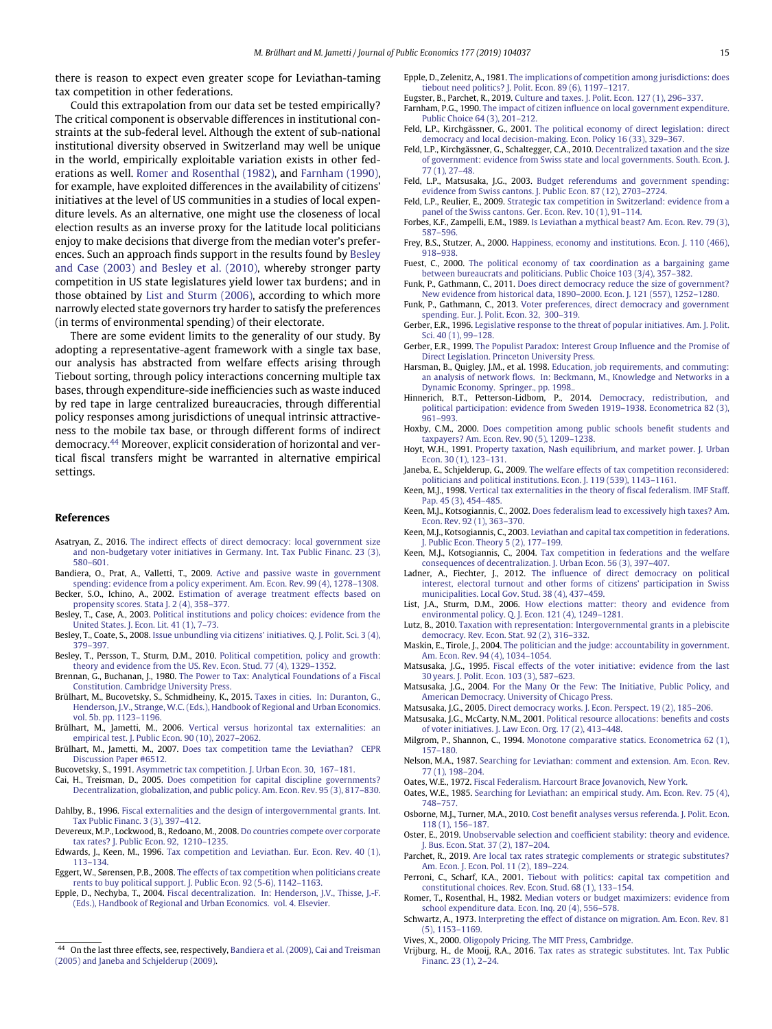there is reason to expect even greater scope for Leviathan-taming tax competition in other federations.

Could this extrapolation from our data set be tested empirically? The critical component is observable differences in institutional constraints at the sub-federal level. Although the extent of sub-national institutional diversity observed in Switzerland may well be unique in the world, empirically exploitable variation exists in other federations as well. [Romer and Rosenthal \(1982\),](#page-14-36) and [Farnham \(1990\),](#page-14-37) for example, have exploited differences in the availability of citizens' initiatives at the level of US communities in a studies of local expenditure levels. As an alternative, one might use the closeness of local election results as an inverse proxy for the latitude local politicians enjoy to make decisions that diverge from the median voter's preferences. Such an approach finds support in the results found by Besley and Case (2003) and Besley et al. (2010), whereby stronger party competition in US state legislatures yield lower tax burdens; and in those obtained by [List and Sturm \(2006\),](#page-14-38) according to which more narrowly elected state governors try harder to satisfy the preferences (in terms of environmental spending) of their electorate.

There are some evident limits to the generality of our study. By adopting a representative-agent framework with a single tax base, our analysis has abstracted from welfare effects arising through Tiebout sorting, through policy interactions concerning multiple tax bases, through expenditure-side inefficiencies such as waste induced by red tape in large centralized bureaucracies, through differential policy responses among jurisdictions of unequal intrinsic attractiveness to the mobile tax base, or through different forms of indirect democracy.[44](#page-14-39) Moreover, explicit consideration of horizontal and vertical fiscal transfers might be warranted in alternative empirical settings.

#### **References**

- <span id="page-14-23"></span>Asatryan, Z., 2016. The indirect effects of direct democracy: local government size and non-b[udge](http://refhub.elsevier.com/S0047-2727(19)30089-1/rf0005)tary voter initiatives in Germany. Int. Tax Public Financ. 23 (3), 580–601.
- Bandiera, O., Prat, A., Valletti, T., 2009. Active and passive waste in government spending: evidence from a policy experiment. Am. Econ. Rev. 99 (4), 1278–1308.
- Becker, S.O., Ichino, A., 2002. Estimation of average treatment effects based on propensity scores. Stata J. 2 (4), 358–377.
- <span id="page-14-29"></span>Besley, T., Case, A., 2003. Political institutions and policy choices: evidence from the United States. J. Econ. Lit. 41 (1), 7–73.
- Besley, T., Coate, S., 2008. Issue unbundling via citizens' initiatives. Q. J. Polit. Sci. 3 (4), 379–397.
- Besley, T., Persson, T., Sturm, D.M., 2010. Political competition, policy and growth: theory and evidence from the US. Rev. Econ. Stud. 77 (4), 1329–1352.
- <span id="page-14-1"></span>Brennan, G., Buchanan, J., 1980. The Power to Tax: Analytical Foundations of a Fiscal Constitution. Cambridge University Press.
- <span id="page-14-22"></span>Brülhart, M., Bucovetsky, S., Schmidheiny, K., 2015. Taxes in cities. In: Duranton, G., Henderson, J.V., Strange[, W.C. \(Eds.\), Handbook o](http://refhub.elsevier.com/S0047-2727(19)30089-1/rf0040)f Regional and Urban Economics. vol. 5b. pp. 1123–1196.
- <span id="page-14-34"></span>Brülhart, M., Jametti, M., 2006. Vertical versus horizontal tax externalities: an empirical test. J. Public Econ. 90 (10), 2027–2062.
- <span id="page-14-28"></span>Brülhart, M., Jametti, M., 2007. Does tax competition tame the Leviathan? CEPR Discussion Paper #6512.
- <span id="page-14-16"></span>Bucovetsky, S., 1991. [Asymmetric tax competition. J. Urban Econ. 30, 167–181.](http://refhub.elsevier.com/S0047-2727(19)30089-1/rf0055)
- Cai, H., Treisman, D., 2005. Does competition for capital discipline governments? [Decentralization, globaliz](http://refhub.elsevier.com/S0047-2727(19)30089-1/rf0060)ation, and public policy. Am. Econ. Rev. 95 (3), 817–830.
- Dahlby, B., 1996. Fiscal externalities and the design of intergovernmental grants. Int. Tax Public Financ. 3 (3), 397–412.
- <span id="page-14-12"></span>Devereux, M.P., Lockwood, B., Redoano, M., 2008. Do countries compete over corporate tax rates? J. Public Econ. 92, 1210–1235.
- <span id="page-14-11"></span>Edwards, J., Keen, M., 1996. Tax competition and Leviathan. Eur. Econ. Rev. 40 (1), 113–134.
- <span id="page-14-10"></span>Eggert, W., Sørensen, P.B., 2008. The effects of tax competition when politicians create rents to buy political support. J. Public Econ. 92 (5-6), 1142–1163.
- <span id="page-14-5"></span><span id="page-14-4"></span>Epple, D., Nechyba, T., 2004. Fiscal decentralization. In: Henderson, J.V., Thisse, J.-F. (Eds.), Handbook of Regional and Urban Economics. vol. 4. Elsevier.
- Epple, D., Zelenitz, A., 1981. The implications of competition among jurisdictions: does tiebout need politics? J. Polit. Econ. 89 (6), 1197–1217.
- <span id="page-14-32"></span>Eugster, B., Parchet, R., 2019. [Culture and taxes. J. Polit. Econ. 127 \(1\), 296–337.](http://refhub.elsevier.com/S0047-2727(19)30089-1/rf0095)
- <span id="page-14-37"></span>Farnham, P.G., 1990. The impact of citizen influence on local government expenditure. Public Choice 64 (3), 201–212.
- <span id="page-14-30"></span>Feld, L.P., Kirchgässner, G., 2001. The political economy of direct legislation: direct democracy and local decision-making. Econ. Policy 16 (33), 329–367.
- <span id="page-14-21"></span>Feld, L.P., Kirchgässner, G., Schaltegger, C.A., 2010. Decentralized taxation and the size of government[: evidence from Swiss state an](http://refhub.elsevier.com/S0047-2727(19)30089-1/rf0110)d local governments. South. Econ. J. 77 (1), 27–48.
- Feld, L.P., Matsusaka, J.G., 2003. Budget referendums and government spending: evidence from Swiss cantons. J. Public Econ. 87 (12), 2703–2724.
- Feld, L.P., Reulier, E., 2009. Strategic tax competition in Switzerland: evidence from a panel of the Swiss cantons. Ger. Econ. Rev. 10 (1), 91–114.
- Forbes, K.F., Zampelli, E.M., 1989. Is Leviathan a mythical beast? Am. Econ. Rev. 79 (3), 587–596.
- Frey, B.S., Stutzer, A., 2000. Happiness, economy and institutions. Econ. J. 110 (466), 918–938.
- Fuest, C., 2000. The political economy of tax coordination as a bargaining game between bureaucrats and politicians. Public Choice 103 (3/4), 357–382.
- <span id="page-14-25"></span>Funk, P., Gathmann, C., 2011. Does direct democracy reduce the size of government? New evidence from historical data, 1890–2000. Econ. J. 121 (557), 1252–1280.
- Funk, P., Gathmann, C., 2013. Voter preferences, direct democracy and government spending. Eur. J. Polit. Econ. 32, 300–319.
- Gerber, E.R., 1996. Legislative response to the threat of popular initiatives. Am. J. Polit. Sci. 40 (1), 99–128.
- Gerber, E.R., 1999. The Populist Paradox: Interest Group Influence and the Promise of Direct Legislation. Princeton University Press.
- Harsman, B., Quigley, J.M., et al. 1998. Education, job requirements, and commuting: an analysis of network flows. In: [Beckm](http://refhub.elsevier.com/S0047-2727(19)30089-1/rf0160)ann, M., Knowledge and Networks in a Dynamic Economy. Springer., pp. 1998..
- Hinnerich, B.T., Petterson-Lidbom, P., 2014. Democracy, redistribution, and political p[articipation: evidence from Sweden](http://refhub.elsevier.com/S0047-2727(19)30089-1/rf0165) 1919–1938. Econometrica 82 (3), 961–993.
- <span id="page-14-18"></span>Hoxby, C.M., 2000. Does competition among public schools benefit students and taxpayers? Am. Econ. Rev. 90 (5), 1209–1238.
- <span id="page-14-3"></span>Hoyt, W.H., 1991. Property taxation, Nash equilibrium, and market power. J. Urban Econ. 30 (1), 123–131.
- Janeba, E., Schjelderup, G., 2009. The welfare effects of tax competition reconsidered: politicians and political institutions. Econ. J. 119 (539), 1143–1161.
- Keen, M.J., 1998. Vertical tax externalities in the theory of fiscal federalism. IMF Staff. Pap. 45 (3), 454-485.
- <span id="page-14-7"></span>Keen, M.J., Kotsogiannis, C., 2002. Does federalism lead to excessively high taxes? Am. Econ. Rev. 92 (1), 363–370.
- <span id="page-14-9"></span>Keen, M.J., Kotsogiannis, C., 2003. Leviathan and capital tax competition in federations. J. Public Econ. Theory 5 (2), 177–199.
- <span id="page-14-8"></span>Keen, M.J., Kotsogiannis, C., 2004. Tax competition in federations and the welfare consequences of decentralization. J. Urban Econ. 56 (3), 397–407.
- Ladner, A., Fiechter, J., 2012. The influence of direct democracy on political interest, electoral turnout [and other forms of c](http://refhub.elsevier.com/S0047-2727(19)30089-1/rf0205)itizens' participation in Swiss municipalities. Local Gov. Stud. 38 (4), 437–459.
- <span id="page-14-38"></span>List, J.A., Sturm, D.M., 2006. How elections matter: theory and evidence from environmental policy. Q. J. Econ. 121 (4), 1249–1281.
- Lutz, B., 2010. Taxation with representation: Intergovernmental grants in a plebiscite democracy. Rev. Econ. Stat. 92 (2), 316–332.
- <span id="page-14-27"></span>Maskin, E., Tirole, J., 2004. The politician and the judge: accountability in government. Am. Econ. Rev. 94 (4), 1034–1054.
- <span id="page-14-19"></span>Matsusaka, J.G., 1995. Fiscal effects of the voter initiative: evidence from the last 30 years. J. Polit. Econ. 103 (3), 587–623.
- <span id="page-14-24"></span>Matsusaka, J.G., 2004. For the Many Or the Few: The Initiative, Public Policy, and American Democracy. University of Chicago Press.
- <span id="page-14-6"></span>Matsusaka, J.G., 2005. [Direct democracy works. J. Econ. Perspect. 19 \(2\), 185–206.](http://refhub.elsevier.com/S0047-2727(19)30089-1/rf0235)
- <span id="page-14-20"></span>Matsusaka, J.G., McCarty, N.M., 2001. Political resource allocations: benefits and costs of voter initiatives. J. Law Econ. Org. 17 (2), 413–448.
- <span id="page-14-13"></span>Milgrom, P., Shannon, C., 1994. Monotone comparative statics. Econometrica 62 (1), 157–180.
- Nelson, M.A., 1987. Searching for Leviathan: comment and extension. Am. Econ. Rev. 77 (1), 198–204.
- <span id="page-14-0"></span>Oates, W.E., 1972. [Fiscal Federalism. Harcourt Brace Jovanovich, New York.](http://refhub.elsevier.com/S0047-2727(19)30089-1/rf0255)
- <span id="page-14-2"></span>Oates, W.E., 1985. Searching for Leviathan: an empirical study. Am. Econ. Rev. 75 (4), 748–757.
- <span id="page-14-26"></span>Osborne, M.J., Turner, M.A., 2010. Cost benefit analyses versus referenda. J. Polit. Econ. 118 (1), 156–187.
- <span id="page-14-31"></span>Oster, E., 2019. Unobservable selection and coefficient stability: theory and evidence. J. Bus. Econ. Stat. 37 (2), 187–204.
- <span id="page-14-33"></span>Parchet, R., 2019. Are local tax rates strategic complements or strategic substitutes? Am. Econ. J. Econ. Pol. 11 (2), 189–224.
- <span id="page-14-17"></span>Perroni, C., Scharf, K.A., 2001. Tiebout with politics: capital tax competition and constitutional choices. Rev. Econ. Stud. 68 (1), 133–154.
- <span id="page-14-36"></span>Romer, T., Rosenthal, H., 1982. Median voters or budget maximizers: evidence from school expenditure data. Econ. Inq. 20 (4), 556–578.
- <span id="page-14-35"></span>Schwartz, A., 1973. Interpreting the effect of distance on migration. Am. Econ. Rev. 81 (5), 1153–1169.
- <span id="page-14-14"></span>Vives, X., 2000. [Oligopoly Pricing. The MIT Press, Cambridge.](http://refhub.elsevier.com/S0047-2727(19)30089-1/rf0295)
- <span id="page-14-15"></span>Vrijburg, H., de Mooij, R.A., 2016. Tax rates as strategic substitutes. Int. Tax Public Financ. 23 (1), 2–24.

<span id="page-14-39"></span><sup>44</sup> On the last three effects, see, respectively, Bandiera et al. (2009), Cai and Treisman (2005) and Janeba and Schjelderup (2009).